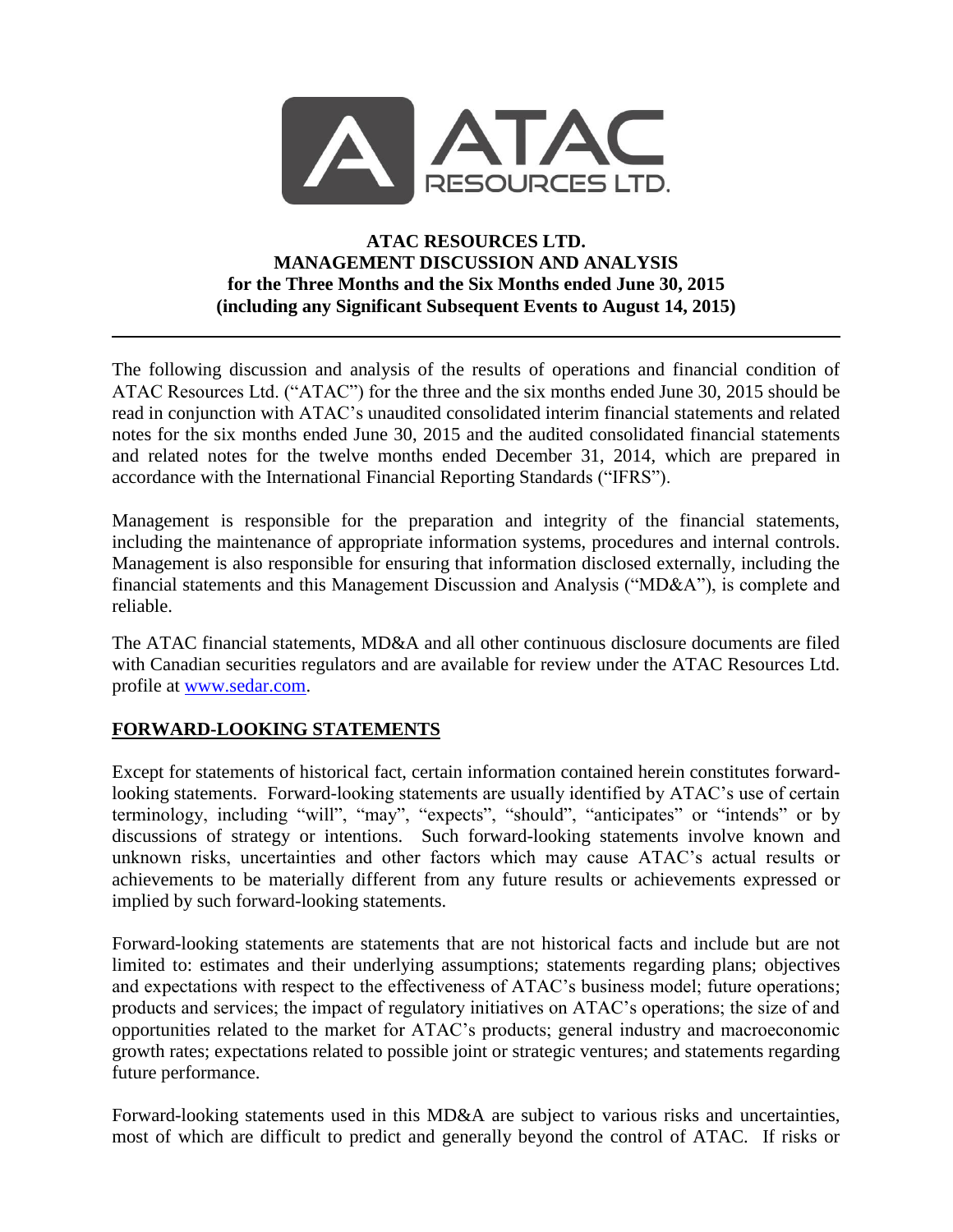

# **ATAC RESOURCES LTD. MANAGEMENT DISCUSSION AND ANALYSIS for the Three Months and the Six Months ended June 30, 2015 (including any Significant Subsequent Events to August 14, 2015)**

The following discussion and analysis of the results of operations and financial condition of ATAC Resources Ltd. ("ATAC") for the three and the six months ended June 30, 2015 should be read in conjunction with ATAC's unaudited consolidated interim financial statements and related notes for the six months ended June 30, 2015 and the audited consolidated financial statements and related notes for the twelve months ended December 31, 2014, which are prepared in accordance with the International Financial Reporting Standards ("IFRS").

Management is responsible for the preparation and integrity of the financial statements, including the maintenance of appropriate information systems, procedures and internal controls. Management is also responsible for ensuring that information disclosed externally, including the financial statements and this Management Discussion and Analysis ("MD&A"), is complete and reliable.

The ATAC financial statements, MD&A and all other continuous disclosure documents are filed with Canadian securities regulators and are available for review under the ATAC Resources Ltd. profile at [www.sedar.com.](http://www.sedar.com/)

# **FORWARD-LOOKING STATEMENTS**

Except for statements of historical fact, certain information contained herein constitutes forwardlooking statements. Forward-looking statements are usually identified by ATAC's use of certain terminology, including "will", "may", "expects", "should", "anticipates" or "intends" or by discussions of strategy or intentions. Such forward-looking statements involve known and unknown risks, uncertainties and other factors which may cause ATAC's actual results or achievements to be materially different from any future results or achievements expressed or implied by such forward-looking statements.

Forward-looking statements are statements that are not historical facts and include but are not limited to: estimates and their underlying assumptions; statements regarding plans; objectives and expectations with respect to the effectiveness of ATAC's business model; future operations; products and services; the impact of regulatory initiatives on ATAC's operations; the size of and opportunities related to the market for ATAC's products; general industry and macroeconomic growth rates; expectations related to possible joint or strategic ventures; and statements regarding future performance.

Forward-looking statements used in this MD&A are subject to various risks and uncertainties, most of which are difficult to predict and generally beyond the control of ATAC. If risks or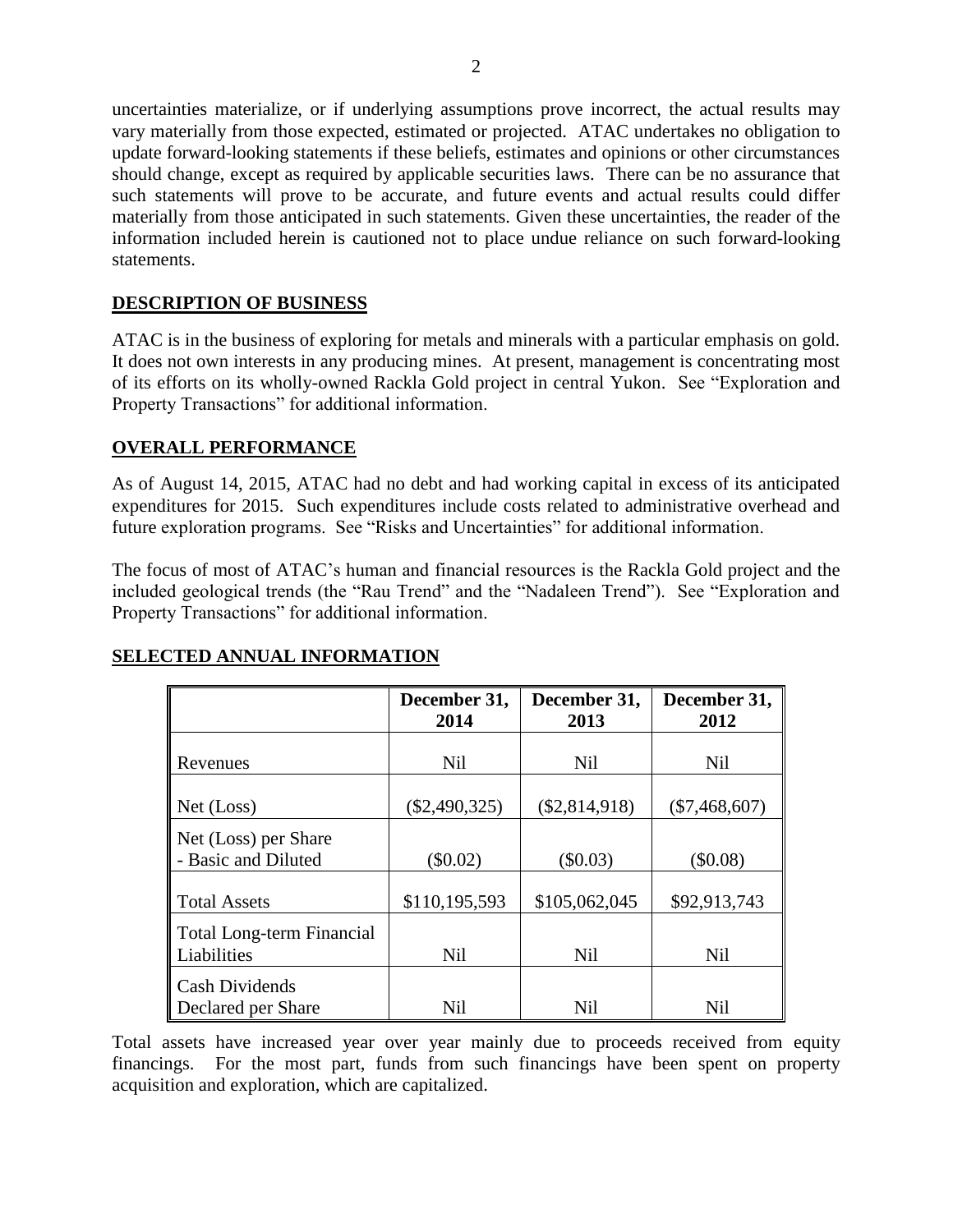uncertainties materialize, or if underlying assumptions prove incorrect, the actual results may vary materially from those expected, estimated or projected. ATAC undertakes no obligation to update forward-looking statements if these beliefs, estimates and opinions or other circumstances should change, except as required by applicable securities laws. There can be no assurance that such statements will prove to be accurate, and future events and actual results could differ materially from those anticipated in such statements. Given these uncertainties, the reader of the information included herein is cautioned not to place undue reliance on such forward-looking statements.

# **DESCRIPTION OF BUSINESS**

ATAC is in the business of exploring for metals and minerals with a particular emphasis on gold. It does not own interests in any producing mines. At present, management is concentrating most of its efforts on its wholly-owned Rackla Gold project in central Yukon. See "Exploration and Property Transactions" for additional information.

## **OVERALL PERFORMANCE**

As of August 14, 2015, ATAC had no debt and had working capital in excess of its anticipated expenditures for 2015. Such expenditures include costs related to administrative overhead and future exploration programs. See "Risks and Uncertainties" for additional information.

The focus of most of ATAC's human and financial resources is the Rackla Gold project and the included geological trends (the "Rau Trend" and the "Nadaleen Trend"). See "Exploration and Property Transactions" for additional information.

|                                  | December 31,<br>2014 | December 31,<br>2013 | December 31,<br>2012 |
|----------------------------------|----------------------|----------------------|----------------------|
|                                  |                      |                      |                      |
| Revenues                         | <b>Nil</b>           | <b>Nil</b>           | <b>Nil</b>           |
|                                  |                      |                      |                      |
| Net (Loss)                       | $(\$2,490,325)$      | $(\$2,814,918)$      | $(\$7,468,607)$      |
| Net (Loss) per Share             |                      |                      |                      |
| - Basic and Diluted              | $(\$0.02)$           | (\$0.03)             | (\$0.08)             |
|                                  |                      |                      |                      |
| <b>Total Assets</b>              | \$110,195,593        | \$105,062,045        | \$92,913,743         |
| <b>Total Long-term Financial</b> |                      |                      |                      |
| Liabilities                      | <b>Nil</b>           | <b>Nil</b>           | <b>Nil</b>           |
| <b>Cash Dividends</b>            |                      |                      |                      |
| Declared per Share               | <b>Nil</b>           | Nil                  | <b>Nil</b>           |

# **SELECTED ANNUAL INFORMATION**

Total assets have increased year over year mainly due to proceeds received from equity financings. For the most part, funds from such financings have been spent on property acquisition and exploration, which are capitalized.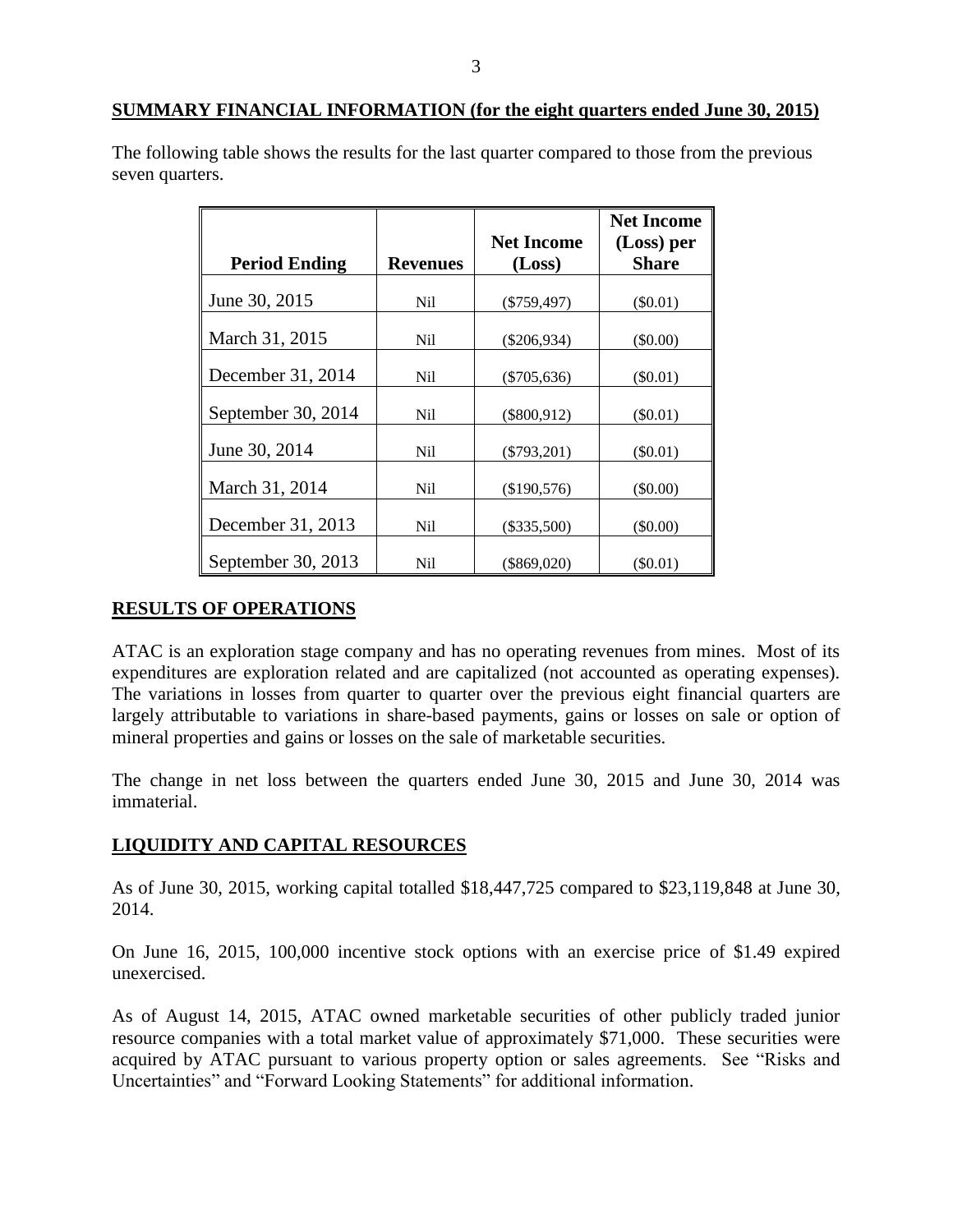The following table shows the results for the last quarter compared to those from the previous seven quarters.

|                      |                 |                   | <b>Net Income</b> |
|----------------------|-----------------|-------------------|-------------------|
|                      |                 | <b>Net Income</b> | (Loss) per        |
| <b>Period Ending</b> | <b>Revenues</b> | (Loss)            | <b>Share</b>      |
| June 30, 2015        | Nil             | $(\$759,497)$     | $(\$0.01)$        |
| March 31, 2015       | Ni1             | $(\$206,934)$     | $(\$0.00)$        |
| December 31, 2014    | Nil.            | $(\$705,636)$     | $(\$0.01)$        |
| September 30, 2014   | Ni1             | $(\$800,912)$     | $(\$0.01)$        |
| June 30, 2014        | Nil             | $(\$793,201)$     | $(\$0.01)$        |
| March 31, 2014       | Ni1             | (\$190,576)       | $(\$0.00)$        |
| December 31, 2013    | Ni1             | $(\$335,500)$     | $(\$0.00)$        |
| September 30, 2013   | Nil             | $(\$869,020)$     | (S0.01)           |

# **RESULTS OF OPERATIONS**

ATAC is an exploration stage company and has no operating revenues from mines. Most of its expenditures are exploration related and are capitalized (not accounted as operating expenses). The variations in losses from quarter to quarter over the previous eight financial quarters are largely attributable to variations in share-based payments, gains or losses on sale or option of mineral properties and gains or losses on the sale of marketable securities.

The change in net loss between the quarters ended June 30, 2015 and June 30, 2014 was immaterial.

## **LIQUIDITY AND CAPITAL RESOURCES**

As of June 30, 2015, working capital totalled \$18,447,725 compared to \$23,119,848 at June 30, 2014.

On June 16, 2015, 100,000 incentive stock options with an exercise price of \$1.49 expired unexercised.

As of August 14, 2015, ATAC owned marketable securities of other publicly traded junior resource companies with a total market value of approximately \$71,000. These securities were acquired by ATAC pursuant to various property option or sales agreements. See "Risks and Uncertainties" and "Forward Looking Statements" for additional information.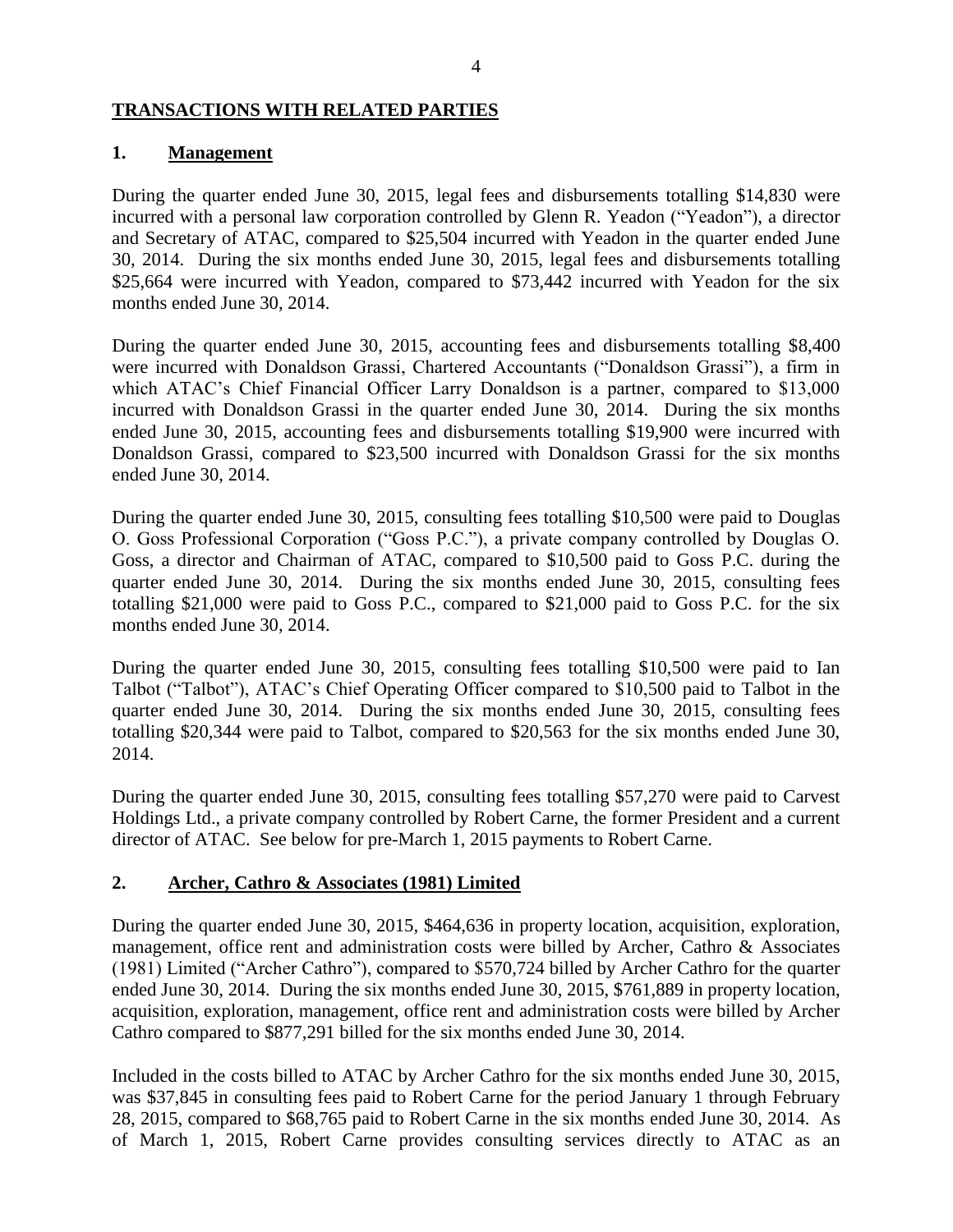### **TRANSACTIONS WITH RELATED PARTIES**

### **1. Management**

During the quarter ended June 30, 2015, legal fees and disbursements totalling \$14,830 were incurred with a personal law corporation controlled by Glenn R. Yeadon ("Yeadon"), a director and Secretary of ATAC, compared to \$25,504 incurred with Yeadon in the quarter ended June 30, 2014. During the six months ended June 30, 2015, legal fees and disbursements totalling \$25,664 were incurred with Yeadon, compared to \$73,442 incurred with Yeadon for the six months ended June 30, 2014.

During the quarter ended June 30, 2015, accounting fees and disbursements totalling \$8,400 were incurred with Donaldson Grassi, Chartered Accountants ("Donaldson Grassi"), a firm in which ATAC's Chief Financial Officer Larry Donaldson is a partner, compared to \$13,000 incurred with Donaldson Grassi in the quarter ended June 30, 2014. During the six months ended June 30, 2015, accounting fees and disbursements totalling \$19,900 were incurred with Donaldson Grassi, compared to \$23,500 incurred with Donaldson Grassi for the six months ended June 30, 2014.

During the quarter ended June 30, 2015, consulting fees totalling \$10,500 were paid to Douglas O. Goss Professional Corporation ("Goss P.C."), a private company controlled by Douglas O. Goss, a director and Chairman of ATAC, compared to \$10,500 paid to Goss P.C. during the quarter ended June 30, 2014. During the six months ended June 30, 2015, consulting fees totalling \$21,000 were paid to Goss P.C., compared to \$21,000 paid to Goss P.C. for the six months ended June 30, 2014.

During the quarter ended June 30, 2015, consulting fees totalling \$10,500 were paid to Ian Talbot ("Talbot"), ATAC's Chief Operating Officer compared to \$10,500 paid to Talbot in the quarter ended June 30, 2014. During the six months ended June 30, 2015, consulting fees totalling \$20,344 were paid to Talbot, compared to \$20,563 for the six months ended June 30, 2014.

During the quarter ended June 30, 2015, consulting fees totalling \$57,270 were paid to Carvest Holdings Ltd., a private company controlled by Robert Carne, the former President and a current director of ATAC. See below for pre-March 1, 2015 payments to Robert Carne.

## **2. Archer, Cathro & Associates (1981) Limited**

During the quarter ended June 30, 2015, \$464,636 in property location, acquisition, exploration, management, office rent and administration costs were billed by Archer, Cathro & Associates (1981) Limited ("Archer Cathro"), compared to \$570,724 billed by Archer Cathro for the quarter ended June 30, 2014. During the six months ended June 30, 2015, \$761,889 in property location, acquisition, exploration, management, office rent and administration costs were billed by Archer Cathro compared to \$877,291 billed for the six months ended June 30, 2014.

Included in the costs billed to ATAC by Archer Cathro for the six months ended June 30, 2015, was \$37,845 in consulting fees paid to Robert Carne for the period January 1 through February 28, 2015, compared to \$68,765 paid to Robert Carne in the six months ended June 30, 2014. As of March 1, 2015, Robert Carne provides consulting services directly to ATAC as an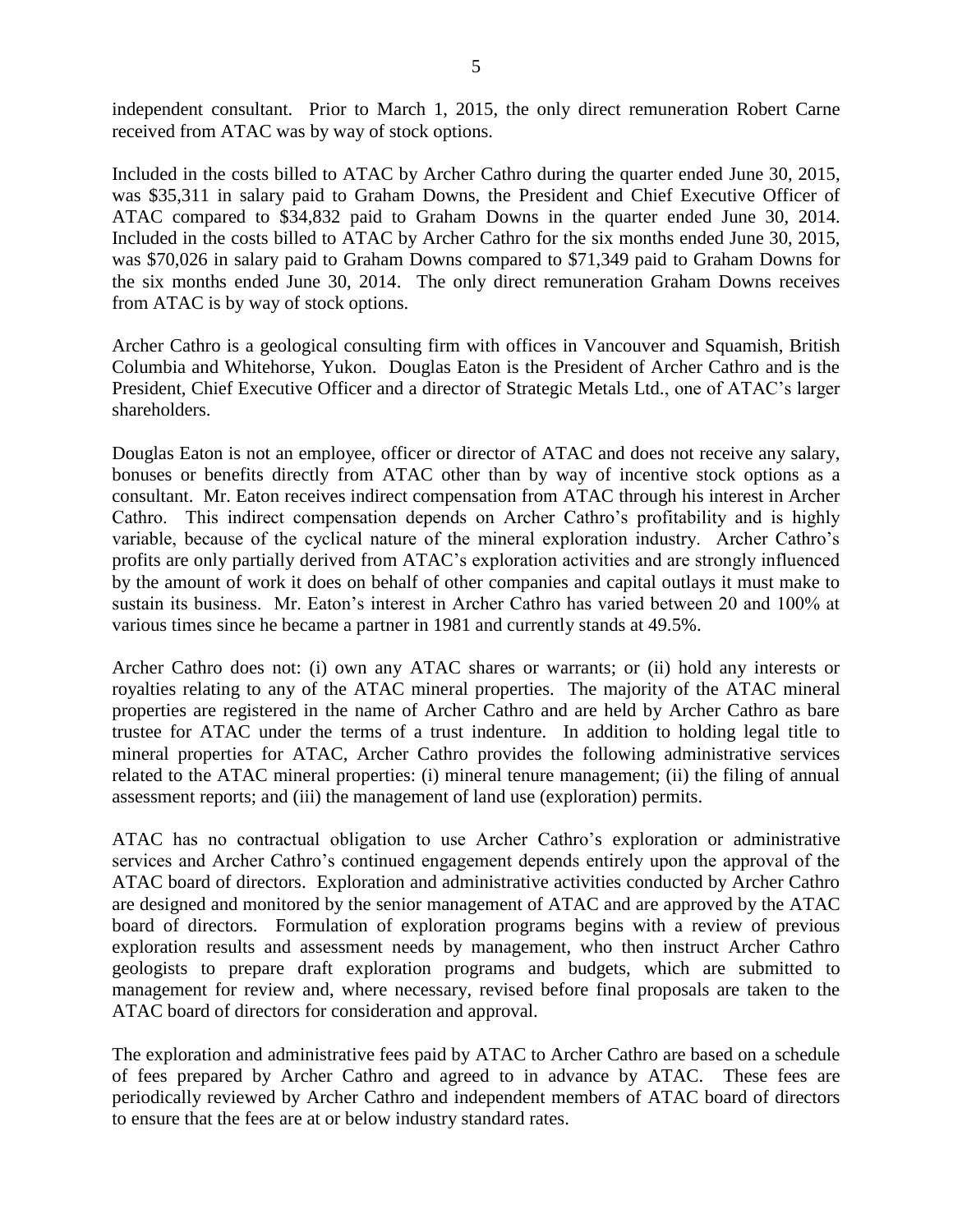independent consultant. Prior to March 1, 2015, the only direct remuneration Robert Carne received from ATAC was by way of stock options.

Included in the costs billed to ATAC by Archer Cathro during the quarter ended June 30, 2015, was \$35,311 in salary paid to Graham Downs, the President and Chief Executive Officer of ATAC compared to \$34,832 paid to Graham Downs in the quarter ended June 30, 2014. Included in the costs billed to ATAC by Archer Cathro for the six months ended June 30, 2015, was \$70,026 in salary paid to Graham Downs compared to \$71,349 paid to Graham Downs for the six months ended June 30, 2014. The only direct remuneration Graham Downs receives from ATAC is by way of stock options.

Archer Cathro is a geological consulting firm with offices in Vancouver and Squamish, British Columbia and Whitehorse, Yukon. Douglas Eaton is the President of Archer Cathro and is the President, Chief Executive Officer and a director of Strategic Metals Ltd., one of ATAC's larger shareholders.

Douglas Eaton is not an employee, officer or director of ATAC and does not receive any salary, bonuses or benefits directly from ATAC other than by way of incentive stock options as a consultant. Mr. Eaton receives indirect compensation from ATAC through his interest in Archer Cathro. This indirect compensation depends on Archer Cathro's profitability and is highly variable, because of the cyclical nature of the mineral exploration industry. Archer Cathro's profits are only partially derived from ATAC's exploration activities and are strongly influenced by the amount of work it does on behalf of other companies and capital outlays it must make to sustain its business. Mr. Eaton's interest in Archer Cathro has varied between 20 and 100% at various times since he became a partner in 1981 and currently stands at 49.5%.

Archer Cathro does not: (i) own any ATAC shares or warrants; or (ii) hold any interests or royalties relating to any of the ATAC mineral properties. The majority of the ATAC mineral properties are registered in the name of Archer Cathro and are held by Archer Cathro as bare trustee for ATAC under the terms of a trust indenture. In addition to holding legal title to mineral properties for ATAC, Archer Cathro provides the following administrative services related to the ATAC mineral properties: (i) mineral tenure management; (ii) the filing of annual assessment reports; and (iii) the management of land use (exploration) permits.

ATAC has no contractual obligation to use Archer Cathro's exploration or administrative services and Archer Cathro's continued engagement depends entirely upon the approval of the ATAC board of directors. Exploration and administrative activities conducted by Archer Cathro are designed and monitored by the senior management of ATAC and are approved by the ATAC board of directors. Formulation of exploration programs begins with a review of previous exploration results and assessment needs by management, who then instruct Archer Cathro geologists to prepare draft exploration programs and budgets, which are submitted to management for review and, where necessary, revised before final proposals are taken to the ATAC board of directors for consideration and approval.

The exploration and administrative fees paid by ATAC to Archer Cathro are based on a schedule of fees prepared by Archer Cathro and agreed to in advance by ATAC. These fees are periodically reviewed by Archer Cathro and independent members of ATAC board of directors to ensure that the fees are at or below industry standard rates.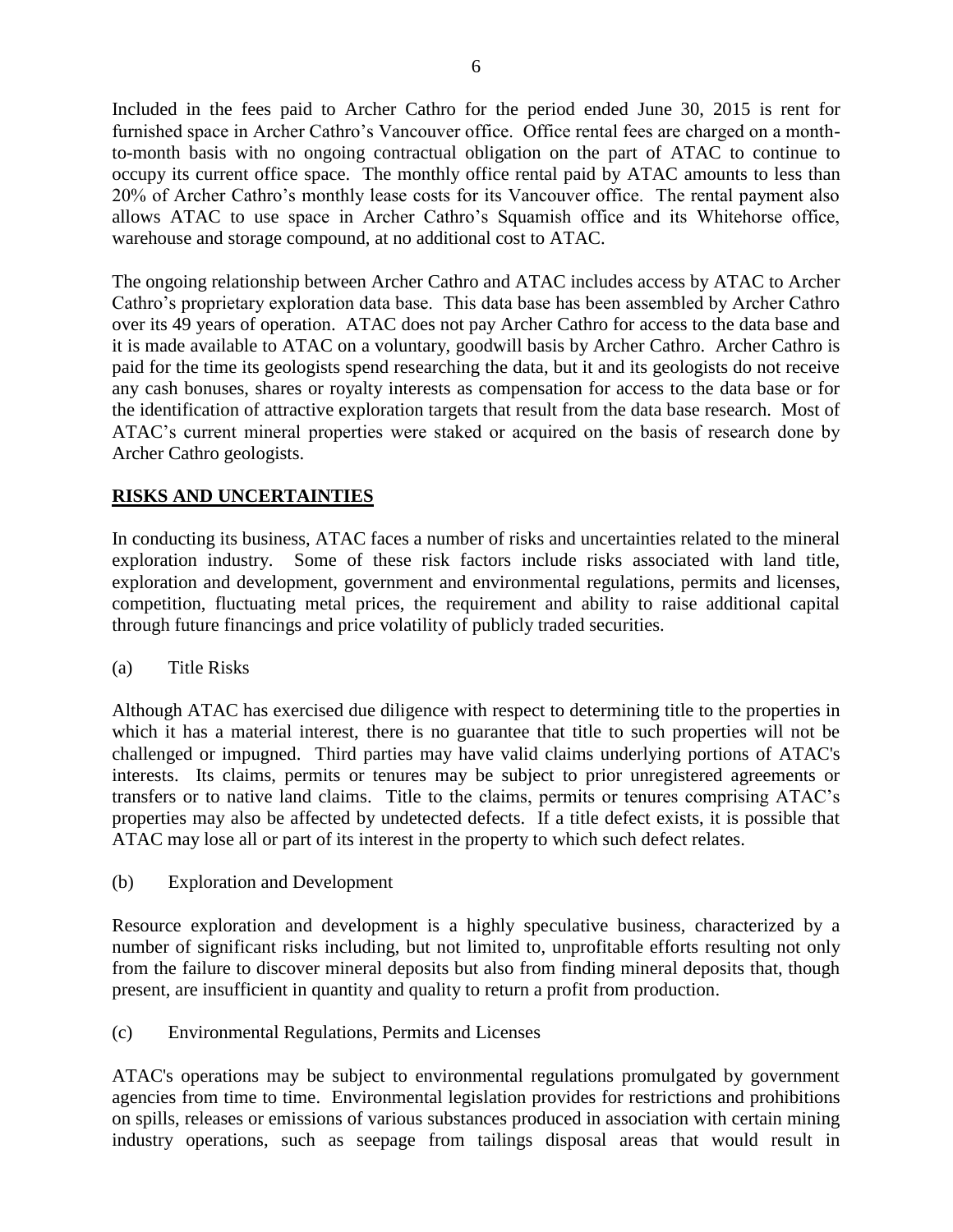Included in the fees paid to Archer Cathro for the period ended June 30, 2015 is rent for furnished space in Archer Cathro's Vancouver office. Office rental fees are charged on a monthto-month basis with no ongoing contractual obligation on the part of ATAC to continue to occupy its current office space. The monthly office rental paid by ATAC amounts to less than 20% of Archer Cathro's monthly lease costs for its Vancouver office. The rental payment also allows ATAC to use space in Archer Cathro's Squamish office and its Whitehorse office, warehouse and storage compound, at no additional cost to ATAC.

The ongoing relationship between Archer Cathro and ATAC includes access by ATAC to Archer Cathro's proprietary exploration data base. This data base has been assembled by Archer Cathro over its 49 years of operation. ATAC does not pay Archer Cathro for access to the data base and it is made available to ATAC on a voluntary, goodwill basis by Archer Cathro. Archer Cathro is paid for the time its geologists spend researching the data, but it and its geologists do not receive any cash bonuses, shares or royalty interests as compensation for access to the data base or for the identification of attractive exploration targets that result from the data base research. Most of ATAC's current mineral properties were staked or acquired on the basis of research done by Archer Cathro geologists.

## **RISKS AND UNCERTAINTIES**

In conducting its business, ATAC faces a number of risks and uncertainties related to the mineral exploration industry. Some of these risk factors include risks associated with land title, exploration and development, government and environmental regulations, permits and licenses, competition, fluctuating metal prices, the requirement and ability to raise additional capital through future financings and price volatility of publicly traded securities.

## (a) Title Risks

Although ATAC has exercised due diligence with respect to determining title to the properties in which it has a material interest, there is no guarantee that title to such properties will not be challenged or impugned. Third parties may have valid claims underlying portions of ATAC's interests. Its claims, permits or tenures may be subject to prior unregistered agreements or transfers or to native land claims. Title to the claims, permits or tenures comprising ATAC's properties may also be affected by undetected defects. If a title defect exists, it is possible that ATAC may lose all or part of its interest in the property to which such defect relates.

(b) Exploration and Development

Resource exploration and development is a highly speculative business, characterized by a number of significant risks including, but not limited to, unprofitable efforts resulting not only from the failure to discover mineral deposits but also from finding mineral deposits that, though present, are insufficient in quantity and quality to return a profit from production.

(c) Environmental Regulations, Permits and Licenses

ATAC's operations may be subject to environmental regulations promulgated by government agencies from time to time. Environmental legislation provides for restrictions and prohibitions on spills, releases or emissions of various substances produced in association with certain mining industry operations, such as seepage from tailings disposal areas that would result in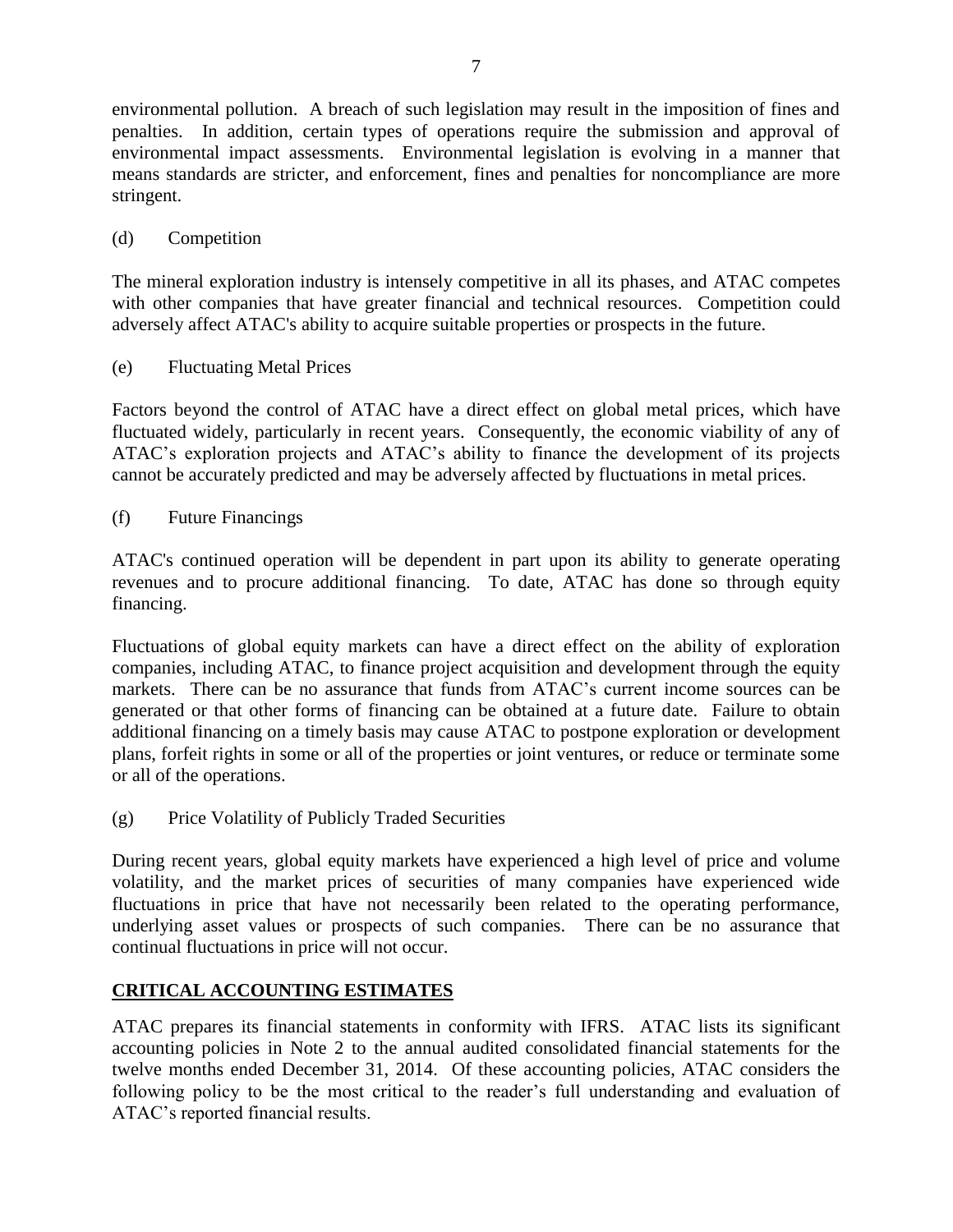environmental pollution. A breach of such legislation may result in the imposition of fines and penalties. In addition, certain types of operations require the submission and approval of environmental impact assessments. Environmental legislation is evolving in a manner that means standards are stricter, and enforcement, fines and penalties for noncompliance are more stringent.

# (d) Competition

The mineral exploration industry is intensely competitive in all its phases, and ATAC competes with other companies that have greater financial and technical resources. Competition could adversely affect ATAC's ability to acquire suitable properties or prospects in the future.

(e) Fluctuating Metal Prices

Factors beyond the control of ATAC have a direct effect on global metal prices, which have fluctuated widely, particularly in recent years. Consequently, the economic viability of any of ATAC's exploration projects and ATAC's ability to finance the development of its projects cannot be accurately predicted and may be adversely affected by fluctuations in metal prices.

(f) Future Financings

ATAC's continued operation will be dependent in part upon its ability to generate operating revenues and to procure additional financing. To date, ATAC has done so through equity financing.

Fluctuations of global equity markets can have a direct effect on the ability of exploration companies, including ATAC, to finance project acquisition and development through the equity markets. There can be no assurance that funds from ATAC's current income sources can be generated or that other forms of financing can be obtained at a future date. Failure to obtain additional financing on a timely basis may cause ATAC to postpone exploration or development plans, forfeit rights in some or all of the properties or joint ventures, or reduce or terminate some or all of the operations.

(g) Price Volatility of Publicly Traded Securities

During recent years, global equity markets have experienced a high level of price and volume volatility, and the market prices of securities of many companies have experienced wide fluctuations in price that have not necessarily been related to the operating performance, underlying asset values or prospects of such companies. There can be no assurance that continual fluctuations in price will not occur.

# **CRITICAL ACCOUNTING ESTIMATES**

ATAC prepares its financial statements in conformity with IFRS. ATAC lists its significant accounting policies in Note 2 to the annual audited consolidated financial statements for the twelve months ended December 31, 2014. Of these accounting policies, ATAC considers the following policy to be the most critical to the reader's full understanding and evaluation of ATAC's reported financial results.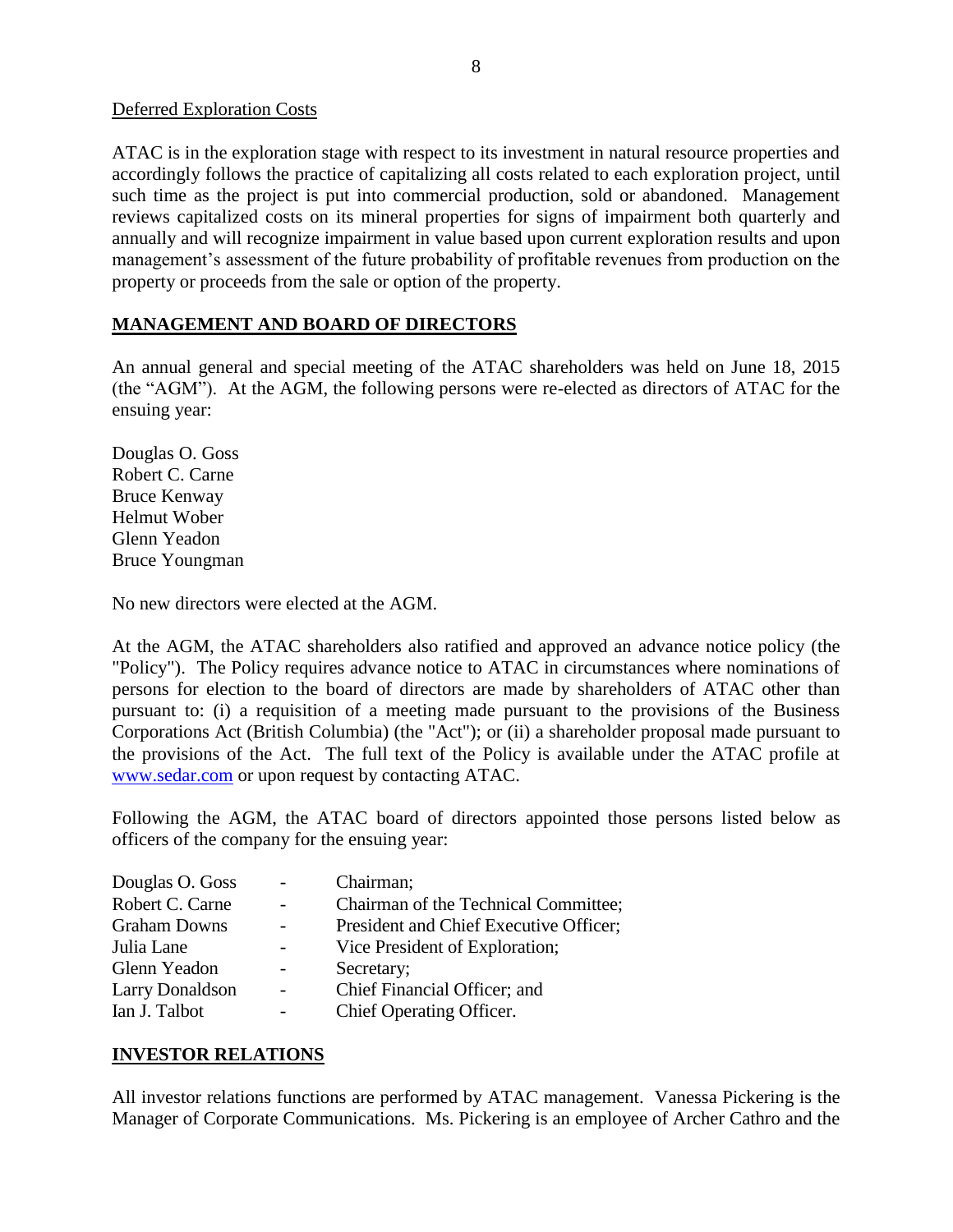Deferred Exploration Costs

ATAC is in the exploration stage with respect to its investment in natural resource properties and accordingly follows the practice of capitalizing all costs related to each exploration project, until such time as the project is put into commercial production, sold or abandoned. Management reviews capitalized costs on its mineral properties for signs of impairment both quarterly and annually and will recognize impairment in value based upon current exploration results and upon management's assessment of the future probability of profitable revenues from production on the property or proceeds from the sale or option of the property.

## **MANAGEMENT AND BOARD OF DIRECTORS**

An annual general and special meeting of the ATAC shareholders was held on June 18, 2015 (the "AGM"). At the AGM, the following persons were re-elected as directors of ATAC for the ensuing year:

Douglas O. Goss Robert C. Carne Bruce Kenway Helmut Wober Glenn Yeadon Bruce Youngman

No new directors were elected at the AGM.

At the AGM, the ATAC shareholders also ratified and approved an advance notice policy (the "Policy"). The Policy requires advance notice to ATAC in circumstances where nominations of persons for election to the board of directors are made by shareholders of ATAC other than pursuant to: (i) a requisition of a meeting made pursuant to the provisions of the Business Corporations Act (British Columbia) (the "Act"); or (ii) a shareholder proposal made pursuant to the provisions of the Act. The full text of the Policy is available under the ATAC profile at [www.sedar.com](http://www.sedar.com/) or upon request by contacting ATAC.

Following the AGM, the ATAC board of directors appointed those persons listed below as officers of the company for the ensuing year:

| Douglas O. Goss        |                          | Chairman;                              |
|------------------------|--------------------------|----------------------------------------|
| Robert C. Carne        | $\overline{\phantom{0}}$ | Chairman of the Technical Committee;   |
| <b>Graham Downs</b>    |                          | President and Chief Executive Officer; |
| Julia Lane             |                          | Vice President of Exploration;         |
| Glenn Yeadon           |                          | Secretary;                             |
| <b>Larry Donaldson</b> | $\blacksquare$           | Chief Financial Officer; and           |
| Ian J. Talbot          |                          | Chief Operating Officer.               |

# **INVESTOR RELATIONS**

All investor relations functions are performed by ATAC management. Vanessa Pickering is the Manager of Corporate Communications. Ms. Pickering is an employee of Archer Cathro and the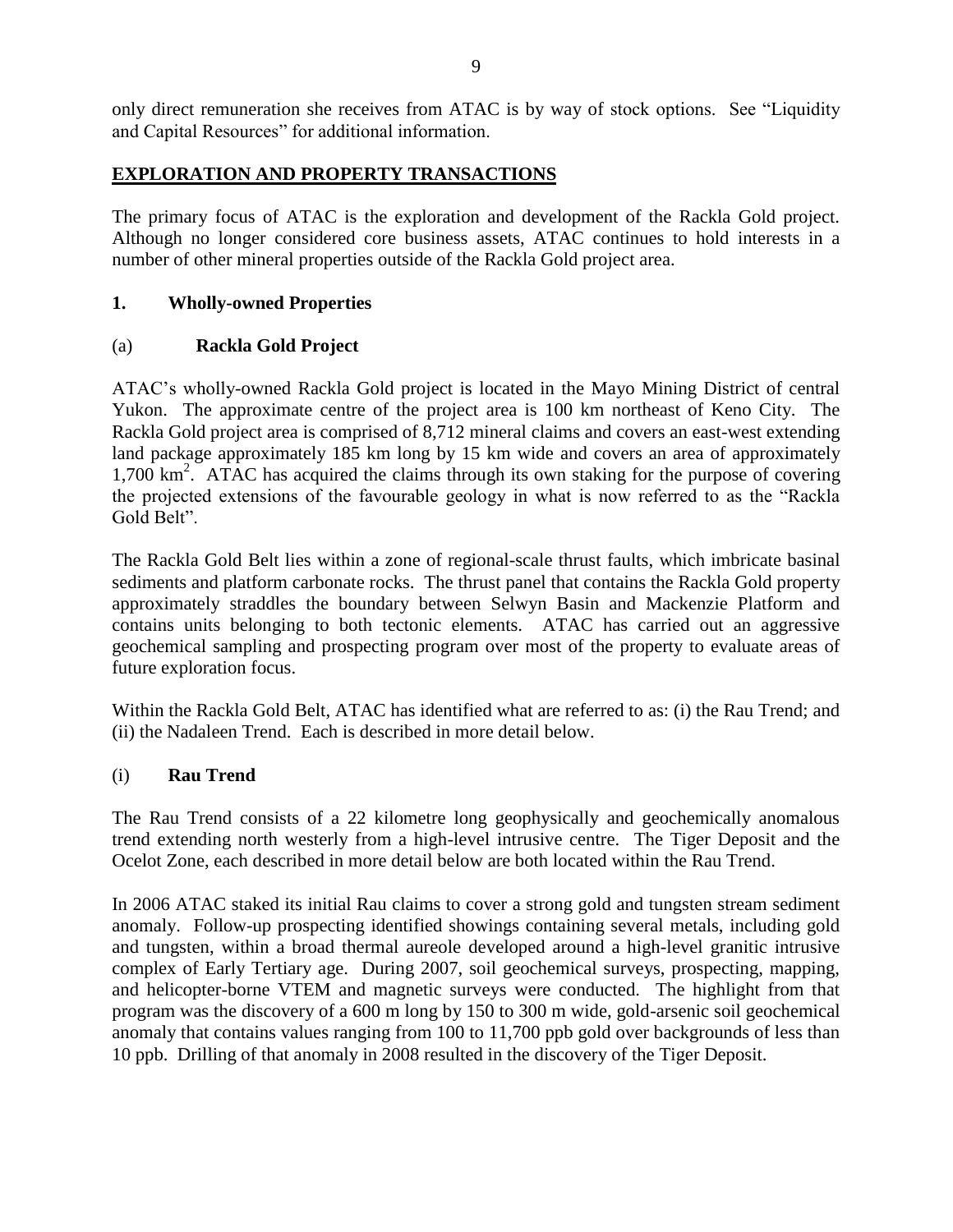only direct remuneration she receives from ATAC is by way of stock options. See "Liquidity and Capital Resources" for additional information.

## **EXPLORATION AND PROPERTY TRANSACTIONS**

The primary focus of ATAC is the exploration and development of the Rackla Gold project. Although no longer considered core business assets, ATAC continues to hold interests in a number of other mineral properties outside of the Rackla Gold project area.

### **1. Wholly-owned Properties**

### (a) **Rackla Gold Project**

ATAC's wholly-owned Rackla Gold project is located in the Mayo Mining District of central Yukon. The approximate centre of the project area is 100 km northeast of Keno City. The Rackla Gold project area is comprised of 8,712 mineral claims and covers an east-west extending land package approximately 185 km long by 15 km wide and covers an area of approximately 1,700 km<sup>2</sup>. ATAC has acquired the claims through its own staking for the purpose of covering the projected extensions of the favourable geology in what is now referred to as the "Rackla Gold Belt".

The Rackla Gold Belt lies within a zone of regional-scale thrust faults, which imbricate basinal sediments and platform carbonate rocks. The thrust panel that contains the Rackla Gold property approximately straddles the boundary between Selwyn Basin and Mackenzie Platform and contains units belonging to both tectonic elements. ATAC has carried out an aggressive geochemical sampling and prospecting program over most of the property to evaluate areas of future exploration focus.

Within the Rackla Gold Belt, ATAC has identified what are referred to as: (i) the Rau Trend; and (ii) the Nadaleen Trend. Each is described in more detail below.

### (i) **Rau Trend**

The Rau Trend consists of a 22 kilometre long geophysically and geochemically anomalous trend extending north westerly from a high-level intrusive centre. The Tiger Deposit and the Ocelot Zone, each described in more detail below are both located within the Rau Trend.

In 2006 ATAC staked its initial Rau claims to cover a strong gold and tungsten stream sediment anomaly. Follow-up prospecting identified showings containing several metals, including gold and tungsten, within a broad thermal aureole developed around a high-level granitic intrusive complex of Early Tertiary age. During 2007, soil geochemical surveys, prospecting, mapping, and helicopter-borne VTEM and magnetic surveys were conducted. The highlight from that program was the discovery of a 600 m long by 150 to 300 m wide, gold-arsenic soil geochemical anomaly that contains values ranging from 100 to 11,700 ppb gold over backgrounds of less than 10 ppb. Drilling of that anomaly in 2008 resulted in the discovery of the Tiger Deposit.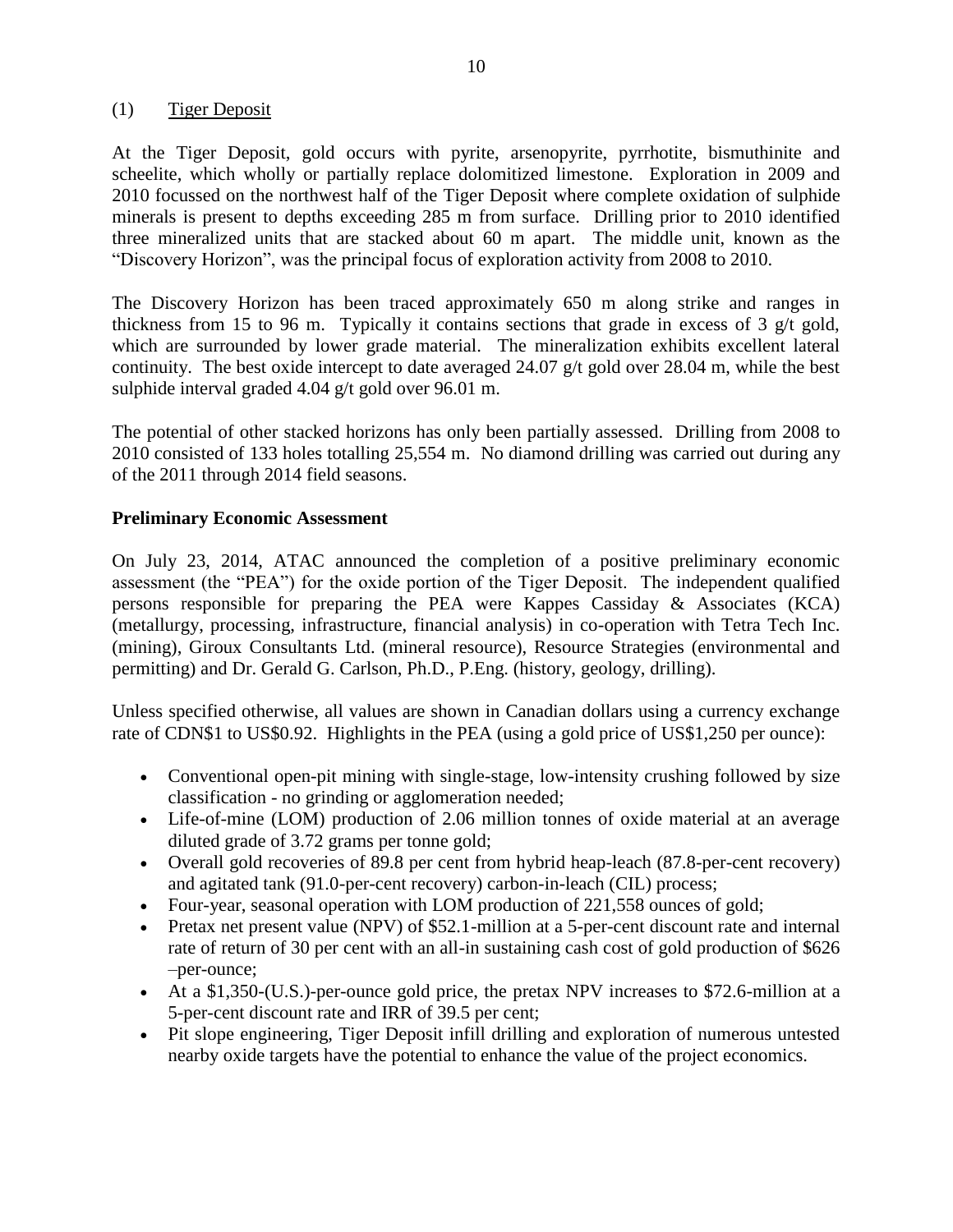### (1) Tiger Deposit

At the Tiger Deposit, gold occurs with pyrite, arsenopyrite, pyrrhotite, bismuthinite and scheelite, which wholly or partially replace dolomitized limestone. Exploration in 2009 and 2010 focussed on the northwest half of the Tiger Deposit where complete oxidation of sulphide minerals is present to depths exceeding 285 m from surface. Drilling prior to 2010 identified three mineralized units that are stacked about 60 m apart. The middle unit, known as the "Discovery Horizon", was the principal focus of exploration activity from 2008 to 2010.

The Discovery Horizon has been traced approximately 650 m along strike and ranges in thickness from 15 to 96 m. Typically it contains sections that grade in excess of 3 g/t gold, which are surrounded by lower grade material. The mineralization exhibits excellent lateral continuity. The best oxide intercept to date averaged 24.07 g/t gold over 28.04 m, while the best sulphide interval graded 4.04 g/t gold over 96.01 m.

The potential of other stacked horizons has only been partially assessed. Drilling from 2008 to 2010 consisted of 133 holes totalling 25,554 m. No diamond drilling was carried out during any of the 2011 through 2014 field seasons.

### **Preliminary Economic Assessment**

On July 23, 2014, ATAC announced the completion of a positive preliminary economic assessment (the "PEA") for the oxide portion of the Tiger Deposit. The independent qualified persons responsible for preparing the PEA were Kappes Cassiday & Associates (KCA) (metallurgy, processing, infrastructure, financial analysis) in co-operation with Tetra Tech Inc. (mining), Giroux Consultants Ltd. (mineral resource), Resource Strategies (environmental and permitting) and Dr. Gerald G. Carlson, Ph.D., P.Eng. (history, geology, drilling).

Unless specified otherwise, all values are shown in Canadian dollars using a currency exchange rate of CDN\$1 to US\$0.92. Highlights in the PEA (using a gold price of US\$1,250 per ounce):

- Conventional open-pit mining with single-stage, low-intensity crushing followed by size classification - no grinding or agglomeration needed;
- Life-of-mine (LOM) production of 2.06 million tonnes of oxide material at an average diluted grade of 3.72 grams per tonne gold;
- Overall gold recoveries of 89.8 per cent from hybrid heap-leach (87.8-per-cent recovery) and agitated tank (91.0-per-cent recovery) carbon-in-leach (CIL) process;
- Four-year, seasonal operation with LOM production of 221,558 ounces of gold;
- Pretax net present value (NPV) of \$52.1-million at a 5-per-cent discount rate and internal rate of return of 30 per cent with an all-in sustaining cash cost of gold production of \$626 –per-ounce;
- At a \$1,350-(U.S.)-per-ounce gold price, the pretax NPV increases to \$72.6-million at a 5-per-cent discount rate and IRR of 39.5 per cent;
- Pit slope engineering, Tiger Deposit infill drilling and exploration of numerous untested nearby oxide targets have the potential to enhance the value of the project economics.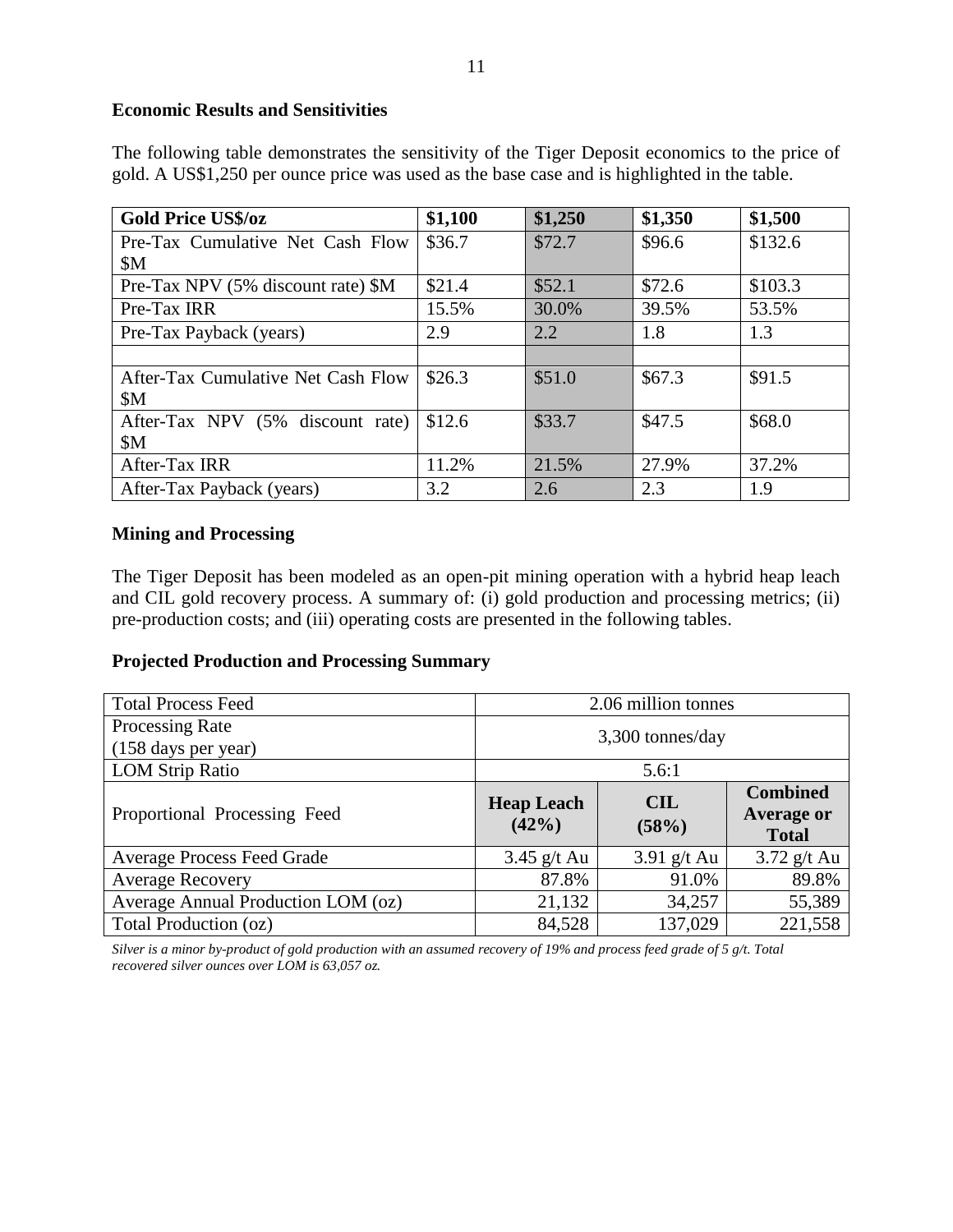### **Economic Results and Sensitivities**

The following table demonstrates the sensitivity of the Tiger Deposit economics to the price of gold. A US\$1,250 per ounce price was used as the base case and is highlighted in the table.

| <b>Gold Price US\$/oz</b>          | \$1,100 | \$1,250 | \$1,350 | \$1,500 |
|------------------------------------|---------|---------|---------|---------|
| Pre-Tax Cumulative Net Cash Flow   | \$36.7  | \$72.7  | \$96.6  | \$132.6 |
| \$M\$                              |         |         |         |         |
| Pre-Tax NPV (5% discount rate) \$M | \$21.4  | \$52.1  | \$72.6  | \$103.3 |
| Pre-Tax IRR                        | 15.5%   | 30.0%   | 39.5%   | 53.5%   |
| Pre-Tax Payback (years)            | 2.9     | 2.2     | 1.8     | 1.3     |
|                                    |         |         |         |         |
| After-Tax Cumulative Net Cash Flow | \$26.3  | \$51.0  | \$67.3  | \$91.5  |
| \$M\$                              |         |         |         |         |
| After-Tax NPV (5% discount rate)   | \$12.6  | \$33.7  | \$47.5  | \$68.0  |
| \$M                                |         |         |         |         |
| After-Tax IRR                      | 11.2%   | 21.5%   | 27.9%   | 37.2%   |
| After-Tax Payback (years)          | 3.2     | 2.6     | 2.3     | 1.9     |

#### **Mining and Processing**

The Tiger Deposit has been modeled as an open-pit mining operation with a hybrid heap leach and CIL gold recovery process. A summary of: (i) gold production and processing metrics; (ii) pre-production costs; and (iii) operating costs are presented in the following tables.

#### **Projected Production and Processing Summary**

| <b>Total Process Feed</b>              | 2.06 million tonnes           |                                                      |               |  |
|----------------------------------------|-------------------------------|------------------------------------------------------|---------------|--|
| Processing Rate<br>(158 days per year) | $3,300$ tonnes/day            |                                                      |               |  |
| <b>LOM Strip Ratio</b>                 |                               | 5.6:1                                                |               |  |
| Proportional Processing Feed           | <b>Heap Leach</b><br>$(42\%)$ | <b>Combined</b><br><b>Average or</b><br><b>Total</b> |               |  |
| <b>Average Process Feed Grade</b>      | $3.45$ g/t Au                 | $3.91$ g/t Au                                        | $3.72$ g/t Au |  |
| <b>Average Recovery</b>                | 87.8%                         | 91.0%                                                | 89.8%         |  |
| Average Annual Production LOM (oz)     | 21,132                        | 34,257                                               | 55,389        |  |
| Total Production (oz)                  | 84,528                        | 137,029                                              | 221,558       |  |

*Silver is a minor by-product of gold production with an assumed recovery of 19% and process feed grade of 5 g/t. Total recovered silver ounces over LOM is 63,057 oz.*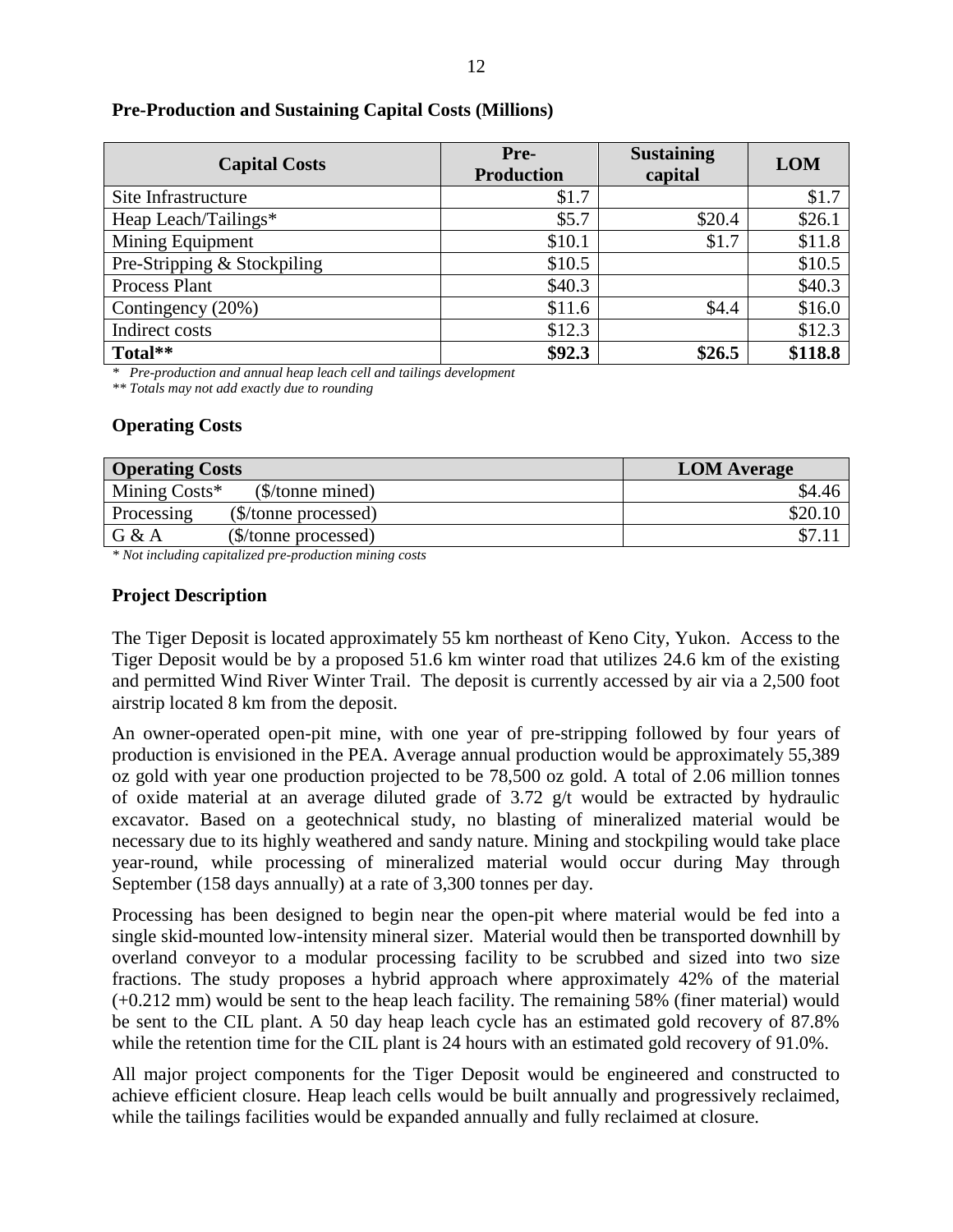| <b>Capital Costs</b>        | Pre-<br><b>Production</b> | <b>Sustaining</b><br>capital | <b>LOM</b> |
|-----------------------------|---------------------------|------------------------------|------------|
| Site Infrastructure         | \$1.7                     |                              | \$1.7      |
| Heap Leach/Tailings*        | \$5.7                     | \$20.4                       | \$26.1     |
| Mining Equipment            | \$10.1                    | \$1.7                        | \$11.8     |
| Pre-Stripping & Stockpiling | \$10.5                    |                              | \$10.5     |
| Process Plant               | \$40.3\$                  |                              | \$40.3     |
| Contingency (20%)           | \$11.6                    | \$4.4                        | \$16.0     |
| Indirect costs              | \$12.3                    |                              | \$12.3     |
| Total**                     | \$92.3                    | \$26.5                       | \$118.8    |

*\* Pre-production and annual heap leach cell and tailings development*

*\*\* Totals may not add exactly due to rounding*

### **Operating Costs**

| <b>Operating Costs</b>             | <b>LOM</b> Average |
|------------------------------------|--------------------|
| Mining Costs*<br>$$/tonne$ mined)  | \$4.46             |
| (\$/tonne processed)<br>Processing | \$20.10            |
| G & A<br>(\$/tonne processed)      |                    |

*\* Not including capitalized pre-production mining costs*

### **Project Description**

The Tiger Deposit is located approximately 55 km northeast of Keno City, Yukon. Access to the Tiger Deposit would be by a proposed 51.6 km winter road that utilizes 24.6 km of the existing and permitted Wind River Winter Trail. The deposit is currently accessed by air via a 2,500 foot airstrip located 8 km from the deposit.

An owner-operated open-pit mine, with one year of pre-stripping followed by four years of production is envisioned in the PEA. Average annual production would be approximately 55,389 oz gold with year one production projected to be 78,500 oz gold. A total of 2.06 million tonnes of oxide material at an average diluted grade of 3.72 g/t would be extracted by hydraulic excavator. Based on a geotechnical study, no blasting of mineralized material would be necessary due to its highly weathered and sandy nature. Mining and stockpiling would take place year-round, while processing of mineralized material would occur during May through September (158 days annually) at a rate of 3,300 tonnes per day.

Processing has been designed to begin near the open-pit where material would be fed into a single skid-mounted low-intensity mineral sizer. Material would then be transported downhill by overland conveyor to a modular processing facility to be scrubbed and sized into two size fractions. The study proposes a hybrid approach where approximately 42% of the material (+0.212 mm) would be sent to the heap leach facility. The remaining 58% (finer material) would be sent to the CIL plant. A 50 day heap leach cycle has an estimated gold recovery of 87.8% while the retention time for the CIL plant is 24 hours with an estimated gold recovery of 91.0%.

All major project components for the Tiger Deposit would be engineered and constructed to achieve efficient closure. Heap leach cells would be built annually and progressively reclaimed, while the tailings facilities would be expanded annually and fully reclaimed at closure.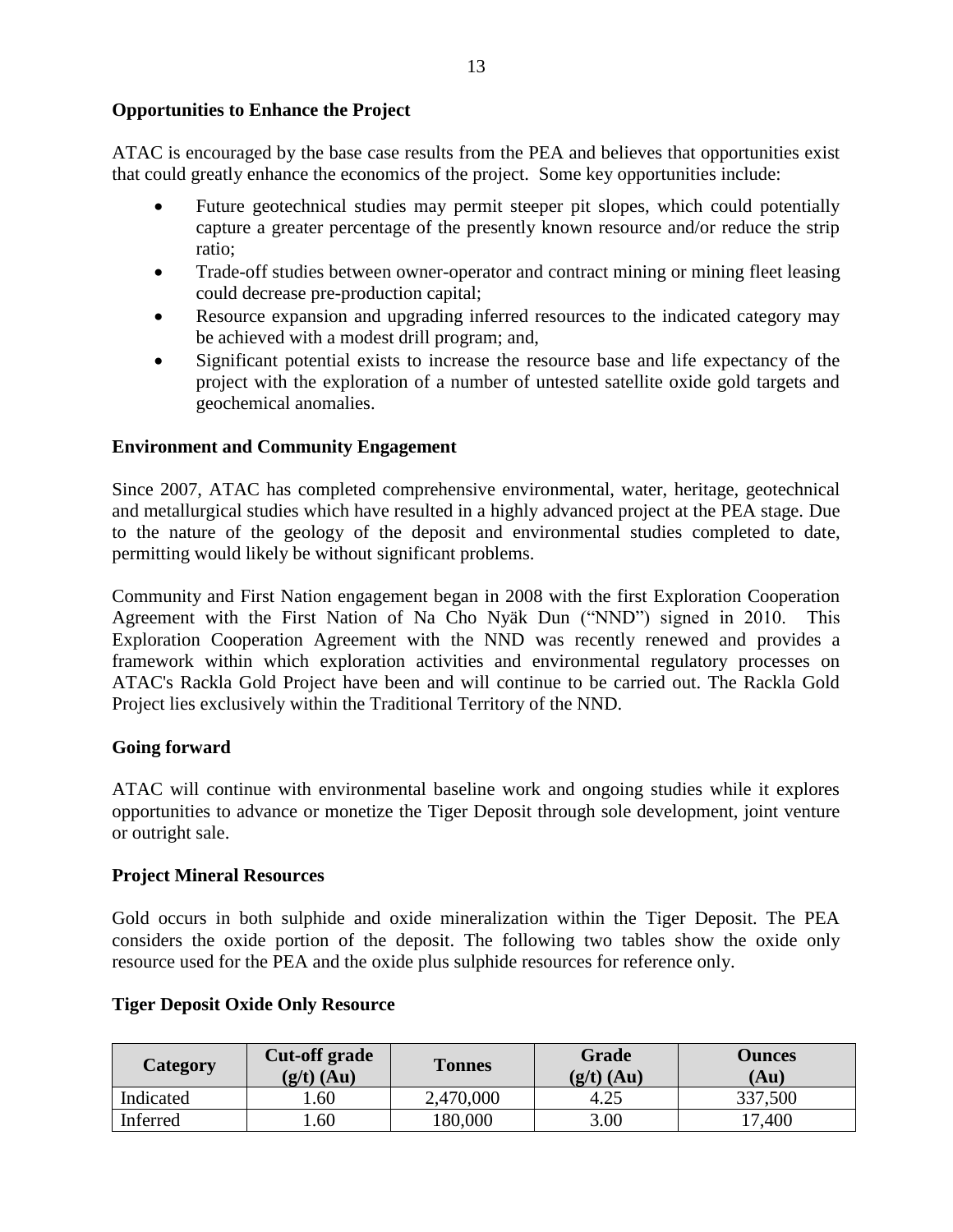ATAC is encouraged by the base case results from the PEA and believes that opportunities exist that could greatly enhance the economics of the project. Some key opportunities include:

- Future geotechnical studies may permit steeper pit slopes, which could potentially capture a greater percentage of the presently known resource and/or reduce the strip ratio;
- Trade-off studies between owner-operator and contract mining or mining fleet leasing could decrease pre-production capital;
- Resource expansion and upgrading inferred resources to the indicated category may be achieved with a modest drill program; and,
- Significant potential exists to increase the resource base and life expectancy of the project with the exploration of a number of untested satellite oxide gold targets and geochemical anomalies.

### **Environment and Community Engagement**

Since 2007, ATAC has completed comprehensive environmental, water, heritage, geotechnical and metallurgical studies which have resulted in a highly advanced project at the PEA stage. Due to the nature of the geology of the deposit and environmental studies completed to date, permitting would likely be without significant problems.

Community and First Nation engagement began in 2008 with the first Exploration Cooperation Agreement with the First Nation of Na Cho Nyäk Dun ("NND") signed in 2010. This Exploration Cooperation Agreement with the NND was recently renewed and provides a framework within which exploration activities and environmental regulatory processes on ATAC's Rackla Gold Project have been and will continue to be carried out. The Rackla Gold Project lies exclusively within the Traditional Territory of the NND.

### **Going forward**

ATAC will continue with environmental baseline work and ongoing studies while it explores opportunities to advance or monetize the Tiger Deposit through sole development, joint venture or outright sale.

#### **Project Mineral Resources**

Gold occurs in both sulphide and oxide mineralization within the Tiger Deposit. The PEA considers the oxide portion of the deposit. The following two tables show the oxide only resource used for the PEA and the oxide plus sulphide resources for reference only.

### **Tiger Deposit Oxide Only Resource**

| <b>Category</b> | Cut-off grade<br>$(g/t)$ (Au) | <b>Tonnes</b> | <b>Grade</b><br>$(g/t)$ (Au) | <b>Ounces</b><br>(Au) |
|-----------------|-------------------------------|---------------|------------------------------|-----------------------|
| Indicated       | .60                           | 2,470,000     | 4.25                         | 337,500               |
| Inferred        | .60                           | 180,000       | 3.00                         | 17,400                |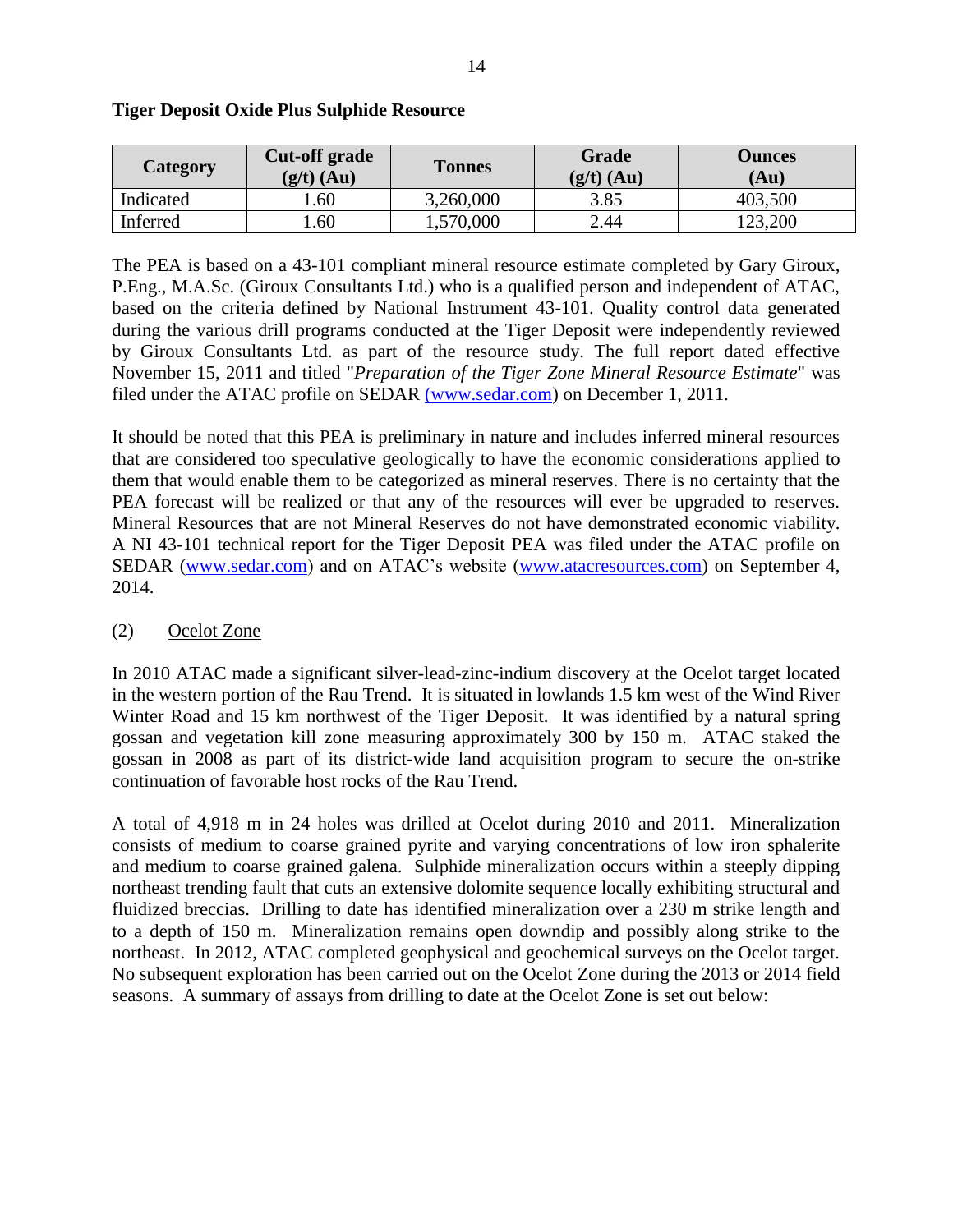| <b>Category</b> | Cut-off grade<br>$(g/t)$ (Au) | <b>Tonnes</b> | Grade<br>$(g/t)$ (Au) | <b>Ounces</b><br>(Au) |
|-----------------|-------------------------------|---------------|-----------------------|-----------------------|
| Indicated       | .60                           | 3,260,000     | 3.85                  | 403,500               |
| Inferred        | .60                           | 1,570,000     | 2.44                  | 123,200               |

#### **Tiger Deposit Oxide Plus Sulphide Resource**

The PEA is based on a 43-101 compliant mineral resource estimate completed by Gary Giroux, P.Eng., M.A.Sc. (Giroux Consultants Ltd.) who is a qualified person and independent of ATAC, based on the criteria defined by National Instrument 43-101. Quality control data generated during the various drill programs conducted at the Tiger Deposit were independently reviewed by Giroux Consultants Ltd. as part of the resource study. The full report dated effective November 15, 2011 and titled "*Preparation of the Tiger Zone Mineral Resource Estimate*" was filed under the ATAC profile on SEDAR [\(www.sedar.com\)](http://(www.sedar.com/) on December 1, 2011.

It should be noted that this PEA is preliminary in nature and includes inferred mineral resources that are considered too speculative geologically to have the economic considerations applied to them that would enable them to be categorized as mineral reserves. There is no certainty that the PEA forecast will be realized or that any of the resources will ever be upgraded to reserves. Mineral Resources that are not Mineral Reserves do not have demonstrated economic viability. A NI 43-101 technical report for the Tiger Deposit PEA was filed under the ATAC profile on SEDAR [\(www.sedar.com\)](http://www.sedar.com/) and on ATAC's website [\(www.atacresources.com\)](http://www.atacresources.com/) on September 4, 2014.

## (2) Ocelot Zone

In 2010 ATAC made a significant silver-lead-zinc-indium discovery at the Ocelot target located in the western portion of the Rau Trend. It is situated in lowlands 1.5 km west of the Wind River Winter Road and 15 km northwest of the Tiger Deposit. It was identified by a natural spring gossan and vegetation kill zone measuring approximately 300 by 150 m. ATAC staked the gossan in 2008 as part of its district-wide land acquisition program to secure the on-strike continuation of favorable host rocks of the Rau Trend.

A total of 4,918 m in 24 holes was drilled at Ocelot during 2010 and 2011. Mineralization consists of medium to coarse grained pyrite and varying concentrations of low iron sphalerite and medium to coarse grained galena. Sulphide mineralization occurs within a steeply dipping northeast trending fault that cuts an extensive dolomite sequence locally exhibiting structural and fluidized breccias. Drilling to date has identified mineralization over a 230 m strike length and to a depth of 150 m. Mineralization remains open downdip and possibly along strike to the northeast. In 2012, ATAC completed geophysical and geochemical surveys on the Ocelot target. No subsequent exploration has been carried out on the Ocelot Zone during the 2013 or 2014 field seasons. A summary of assays from drilling to date at the Ocelot Zone is set out below: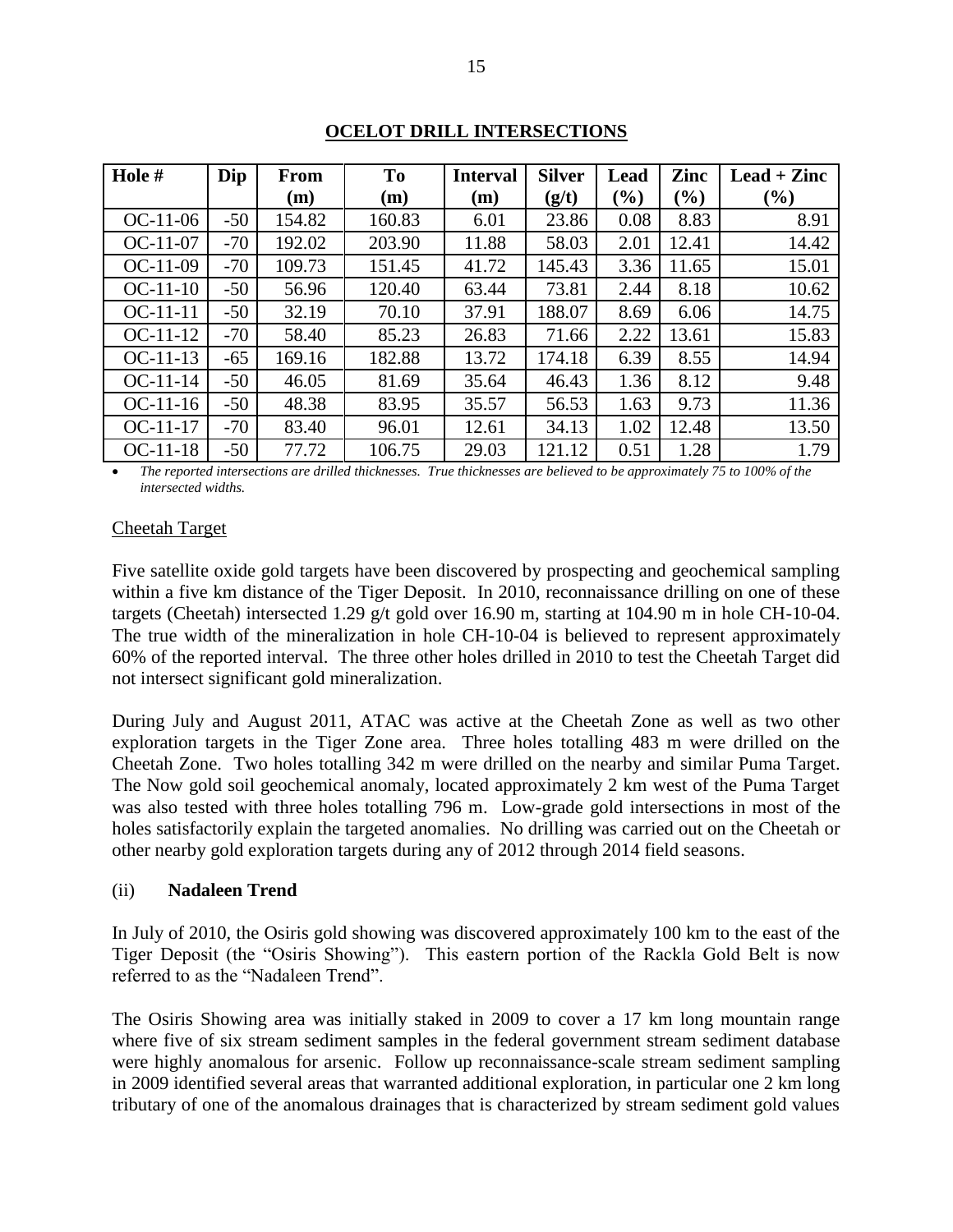| Hole #     | Dip   | <b>From</b> | <b>To</b> | <b>Interval</b> | <b>Silver</b> | Lead   | Zinc   | $\text{Leaf} + \text{Zinc}$ |
|------------|-------|-------------|-----------|-----------------|---------------|--------|--------|-----------------------------|
|            |       | (m)         | (m)       | (m)             | (g/t)         | $(\%)$ | $(\%)$ | $(\% )$                     |
| $OC-11-06$ | $-50$ | 154.82      | 160.83    | 6.01            | 23.86         | 0.08   | 8.83   | 8.91                        |
| $OC-11-07$ | $-70$ | 192.02      | 203.90    | 11.88           | 58.03         | 2.01   | 12.41  | 14.42                       |
| $OC-11-09$ | $-70$ | 109.73      | 151.45    | 41.72           | 145.43        | 3.36   | 11.65  | 15.01                       |
| $OC-11-10$ | $-50$ | 56.96       | 120.40    | 63.44           | 73.81         | 2.44   | 8.18   | 10.62                       |
| $OC-11-11$ | $-50$ | 32.19       | 70.10     | 37.91           | 188.07        | 8.69   | 6.06   | 14.75                       |
| $OC-11-12$ | $-70$ | 58.40       | 85.23     | 26.83           | 71.66         | 2.22   | 13.61  | 15.83                       |
| $OC-11-13$ | $-65$ | 169.16      | 182.88    | 13.72           | 174.18        | 6.39   | 8.55   | 14.94                       |
| $OC-11-14$ | $-50$ | 46.05       | 81.69     | 35.64           | 46.43         | 1.36   | 8.12   | 9.48                        |
| $OC-11-16$ | $-50$ | 48.38       | 83.95     | 35.57           | 56.53         | 1.63   | 9.73   | 11.36                       |
| $OC-11-17$ | $-70$ | 83.40       | 96.01     | 12.61           | 34.13         | 1.02   | 12.48  | 13.50                       |
| $OC-11-18$ | $-50$ | 77.72       | 106.75    | 29.03           | 121.12        | 0.51   | 1.28   | 1.79                        |

### **OCELOT DRILL INTERSECTIONS**

 *The reported intersections are drilled thicknesses. True thicknesses are believed to be approximately 75 to 100% of the intersected widths.*

#### Cheetah Target

Five satellite oxide gold targets have been discovered by prospecting and geochemical sampling within a five km distance of the Tiger Deposit. In 2010, reconnaissance drilling on one of these targets (Cheetah) intersected 1.29 g/t gold over 16.90 m, starting at 104.90 m in hole CH-10-04. The true width of the mineralization in hole CH-10-04 is believed to represent approximately 60% of the reported interval. The three other holes drilled in 2010 to test the Cheetah Target did not intersect significant gold mineralization.

During July and August 2011, ATAC was active at the Cheetah Zone as well as two other exploration targets in the Tiger Zone area. Three holes totalling 483 m were drilled on the Cheetah Zone. Two holes totalling 342 m were drilled on the nearby and similar Puma Target. The Now gold soil geochemical anomaly, located approximately 2 km west of the Puma Target was also tested with three holes totalling 796 m. Low-grade gold intersections in most of the holes satisfactorily explain the targeted anomalies. No drilling was carried out on the Cheetah or other nearby gold exploration targets during any of 2012 through 2014 field seasons.

#### (ii) **Nadaleen Trend**

In July of 2010, the Osiris gold showing was discovered approximately 100 km to the east of the Tiger Deposit (the "Osiris Showing"). This eastern portion of the Rackla Gold Belt is now referred to as the "Nadaleen Trend".

The Osiris Showing area was initially staked in 2009 to cover a 17 km long mountain range where five of six stream sediment samples in the federal government stream sediment database were highly anomalous for arsenic. Follow up reconnaissance-scale stream sediment sampling in 2009 identified several areas that warranted additional exploration, in particular one 2 km long tributary of one of the anomalous drainages that is characterized by stream sediment gold values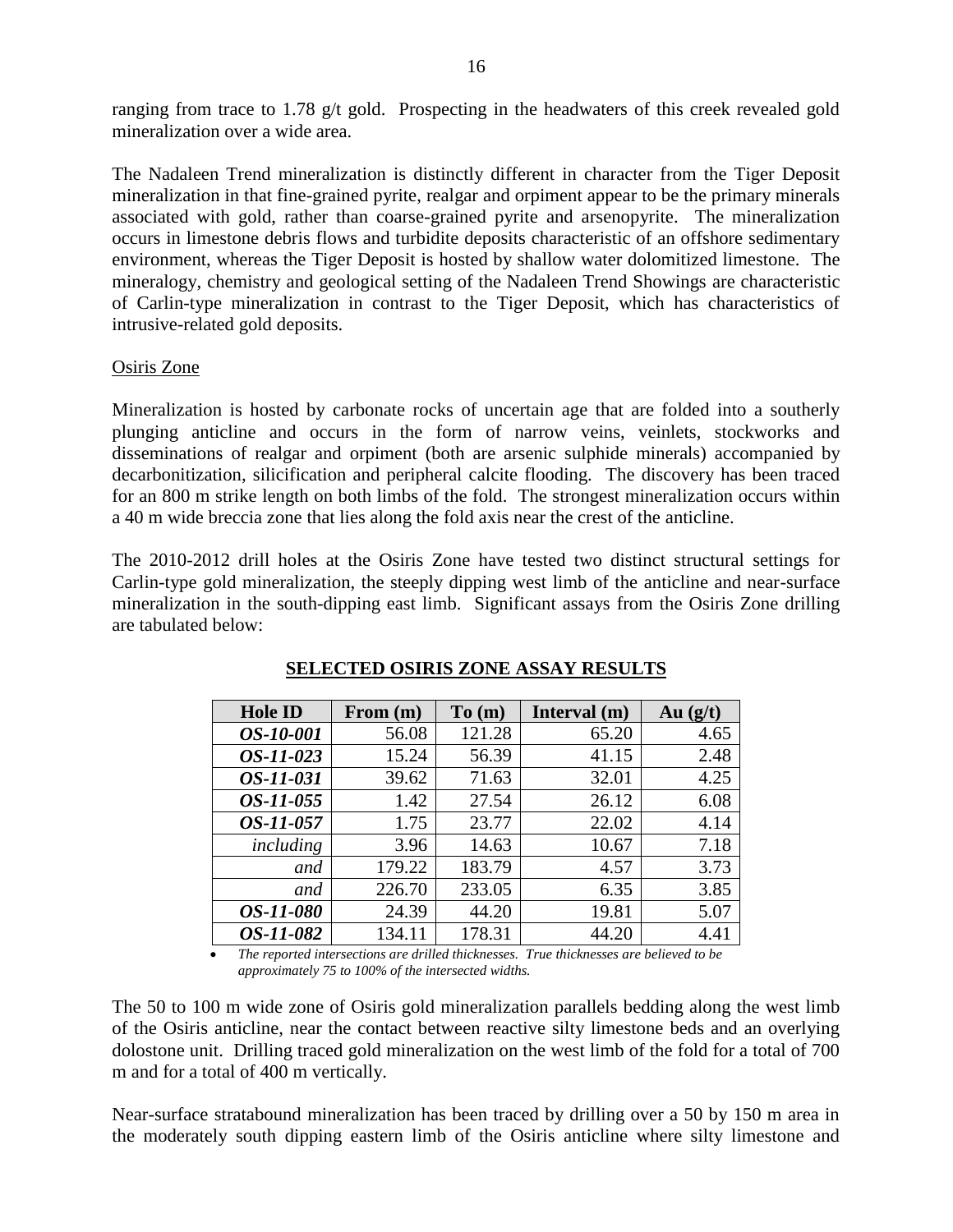ranging from trace to 1.78 g/t gold. Prospecting in the headwaters of this creek revealed gold mineralization over a wide area.

The Nadaleen Trend mineralization is distinctly different in character from the Tiger Deposit mineralization in that fine-grained pyrite, realgar and orpiment appear to be the primary minerals associated with gold, rather than coarse-grained pyrite and arsenopyrite. The mineralization occurs in limestone debris flows and turbidite deposits characteristic of an offshore sedimentary environment, whereas the Tiger Deposit is hosted by shallow water dolomitized limestone. The mineralogy, chemistry and geological setting of the Nadaleen Trend Showings are characteristic of Carlin-type mineralization in contrast to the Tiger Deposit, which has characteristics of intrusive-related gold deposits.

### Osiris Zone

Mineralization is hosted by carbonate rocks of uncertain age that are folded into a southerly plunging anticline and occurs in the form of narrow veins, veinlets, stockworks and disseminations of realgar and orpiment (both are arsenic sulphide minerals) accompanied by decarbonitization, silicification and peripheral calcite flooding. The discovery has been traced for an 800 m strike length on both limbs of the fold. The strongest mineralization occurs within a 40 m wide breccia zone that lies along the fold axis near the crest of the anticline.

The 2010-2012 drill holes at the Osiris Zone have tested two distinct structural settings for Carlin-type gold mineralization, the steeply dipping west limb of the anticline and near-surface mineralization in the south-dipping east limb. Significant assays from the Osiris Zone drilling are tabulated below:

| <b>Hole ID</b>   | From (m) | To(m)  | Interval (m) | Au $(g/t)$ |
|------------------|----------|--------|--------------|------------|
| <i>OS-10-001</i> | 56.08    | 121.28 | 65.20        | 4.65       |
| OS-11-023        | 15.24    | 56.39  | 41.15        | 2.48       |
| OS-11-031        | 39.62    | 71.63  | 32.01        | 4.25       |
| <i>OS-11-055</i> | 1.42     | 27.54  | 26.12        | 6.08       |
| <i>OS-11-057</i> | 1.75     | 23.77  | 22.02        | 4.14       |
| including        | 3.96     | 14.63  | 10.67        | 7.18       |
| and              | 179.22   | 183.79 | 4.57         | 3.73       |
| and              | 226.70   | 233.05 | 6.35         | 3.85       |
| <i>OS-11-080</i> | 24.39    | 44.20  | 19.81        | 5.07       |
| OS-11-082        | 134.11   | 178.31 | 44.20        | 4.41       |

## **SELECTED OSIRIS ZONE ASSAY RESULTS**

 *The reported intersections are drilled thicknesses. True thicknesses are believed to be approximately 75 to 100% of the intersected widths.*

The 50 to 100 m wide zone of Osiris gold mineralization parallels bedding along the west limb of the Osiris anticline, near the contact between reactive silty limestone beds and an overlying dolostone unit. Drilling traced gold mineralization on the west limb of the fold for a total of 700 m and for a total of 400 m vertically.

Near-surface stratabound mineralization has been traced by drilling over a 50 by 150 m area in the moderately south dipping eastern limb of the Osiris anticline where silty limestone and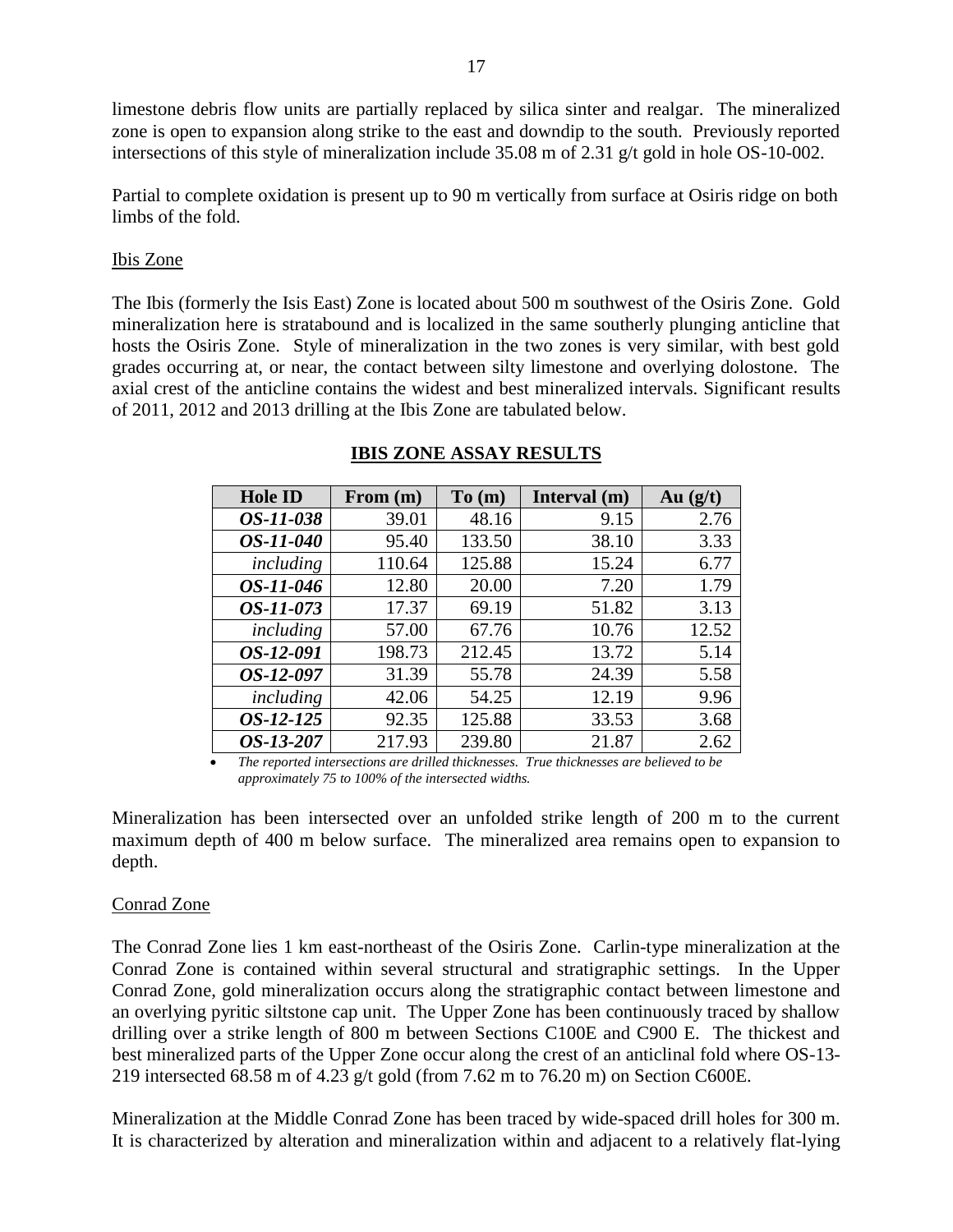limestone debris flow units are partially replaced by silica sinter and realgar. The mineralized zone is open to expansion along strike to the east and downdip to the south. Previously reported intersections of this style of mineralization include 35.08 m of 2.31 g/t gold in hole OS-10-002.

Partial to complete oxidation is present up to 90 m vertically from surface at Osiris ridge on both limbs of the fold.

#### Ibis Zone

The Ibis (formerly the Isis East) Zone is located about 500 m southwest of the Osiris Zone. Gold mineralization here is stratabound and is localized in the same southerly plunging anticline that hosts the Osiris Zone. Style of mineralization in the two zones is very similar, with best gold grades occurring at, or near, the contact between silty limestone and overlying dolostone. The axial crest of the anticline contains the widest and best mineralized intervals. Significant results of 2011, 2012 and 2013 drilling at the Ibis Zone are tabulated below.

| <b>Hole ID</b>   | From $(m)$ | To(m)  | Interval (m) | Au $(g/t)$ |
|------------------|------------|--------|--------------|------------|
| <i>OS-11-038</i> | 39.01      | 48.16  | 9.15         | 2.76       |
| <i>OS-11-040</i> | 95.40      | 133.50 | 38.10        | 3.33       |
| including        | 110.64     | 125.88 | 15.24        | 6.77       |
| OS-11-046        | 12.80      | 20.00  | 7.20         | 1.79       |
| OS-11-073        | 17.37      | 69.19  | 51.82        | 3.13       |
| including        | 57.00      | 67.76  | 10.76        | 12.52      |
| OS-12-091        | 198.73     | 212.45 | 13.72        | 5.14       |
| OS-12-097        | 31.39      | 55.78  | 24.39        | 5.58       |
| including        | 42.06      | 54.25  | 12.19        | 9.96       |
| OS-12-125        | 92.35      | 125.88 | 33.53        | 3.68       |
| OS-13-207        | 217.93     | 239.80 | 21.87        | 2.62       |

### **IBIS ZONE ASSAY RESULTS**

 *The reported intersections are drilled thicknesses. True thicknesses are believed to be approximately 75 to 100% of the intersected widths.*

Mineralization has been intersected over an unfolded strike length of 200 m to the current maximum depth of 400 m below surface. The mineralized area remains open to expansion to depth.

### Conrad Zone

The Conrad Zone lies 1 km east-northeast of the Osiris Zone. Carlin-type mineralization at the Conrad Zone is contained within several structural and stratigraphic settings. In the Upper Conrad Zone, gold mineralization occurs along the stratigraphic contact between limestone and an overlying pyritic siltstone cap unit. The Upper Zone has been continuously traced by shallow drilling over a strike length of 800 m between Sections C100E and C900 E. The thickest and best mineralized parts of the Upper Zone occur along the crest of an anticlinal fold where OS-13- 219 intersected 68.58 m of 4.23 g/t gold (from 7.62 m to 76.20 m) on Section C600E.

Mineralization at the Middle Conrad Zone has been traced by wide-spaced drill holes for 300 m. It is characterized by alteration and mineralization within and adjacent to a relatively flat-lying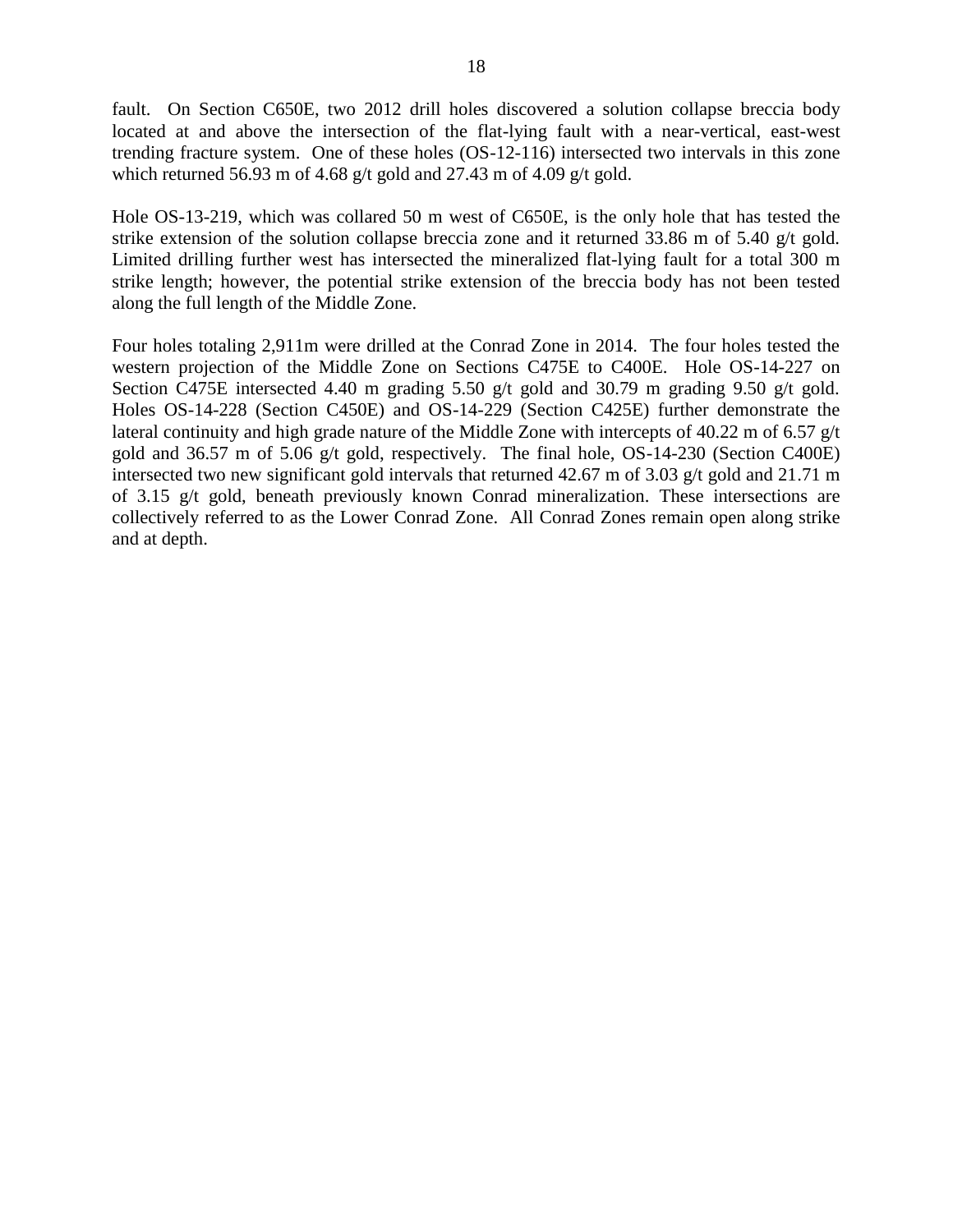fault. On Section C650E, two 2012 drill holes discovered a solution collapse breccia body located at and above the intersection of the flat-lying fault with a near-vertical, east-west trending fracture system. One of these holes (OS-12-116) intersected two intervals in this zone which returned 56.93 m of 4.68 g/t gold and 27.43 m of 4.09 g/t gold.

Hole OS-13-219, which was collared 50 m west of C650E, is the only hole that has tested the strike extension of the solution collapse breccia zone and it returned 33.86 m of 5.40 g/t gold. Limited drilling further west has intersected the mineralized flat-lying fault for a total 300 m strike length; however, the potential strike extension of the breccia body has not been tested along the full length of the Middle Zone.

Four holes totaling 2,911m were drilled at the Conrad Zone in 2014. The four holes tested the western projection of the Middle Zone on Sections C475E to C400E. Hole OS-14-227 on Section C475E intersected 4.40 m grading 5.50 g/t gold and 30.79 m grading 9.50 g/t gold. Holes OS-14-228 (Section C450E) and OS-14-229 (Section C425E) further demonstrate the lateral continuity and high grade nature of the Middle Zone with intercepts of 40.22 m of 6.57 g/t gold and 36.57 m of 5.06 g/t gold, respectively. The final hole, OS-14-230 (Section C400E) intersected two new significant gold intervals that returned 42.67 m of 3.03 g/t gold and 21.71 m of 3.15 g/t gold, beneath previously known Conrad mineralization. These intersections are collectively referred to as the Lower Conrad Zone. All Conrad Zones remain open along strike and at depth.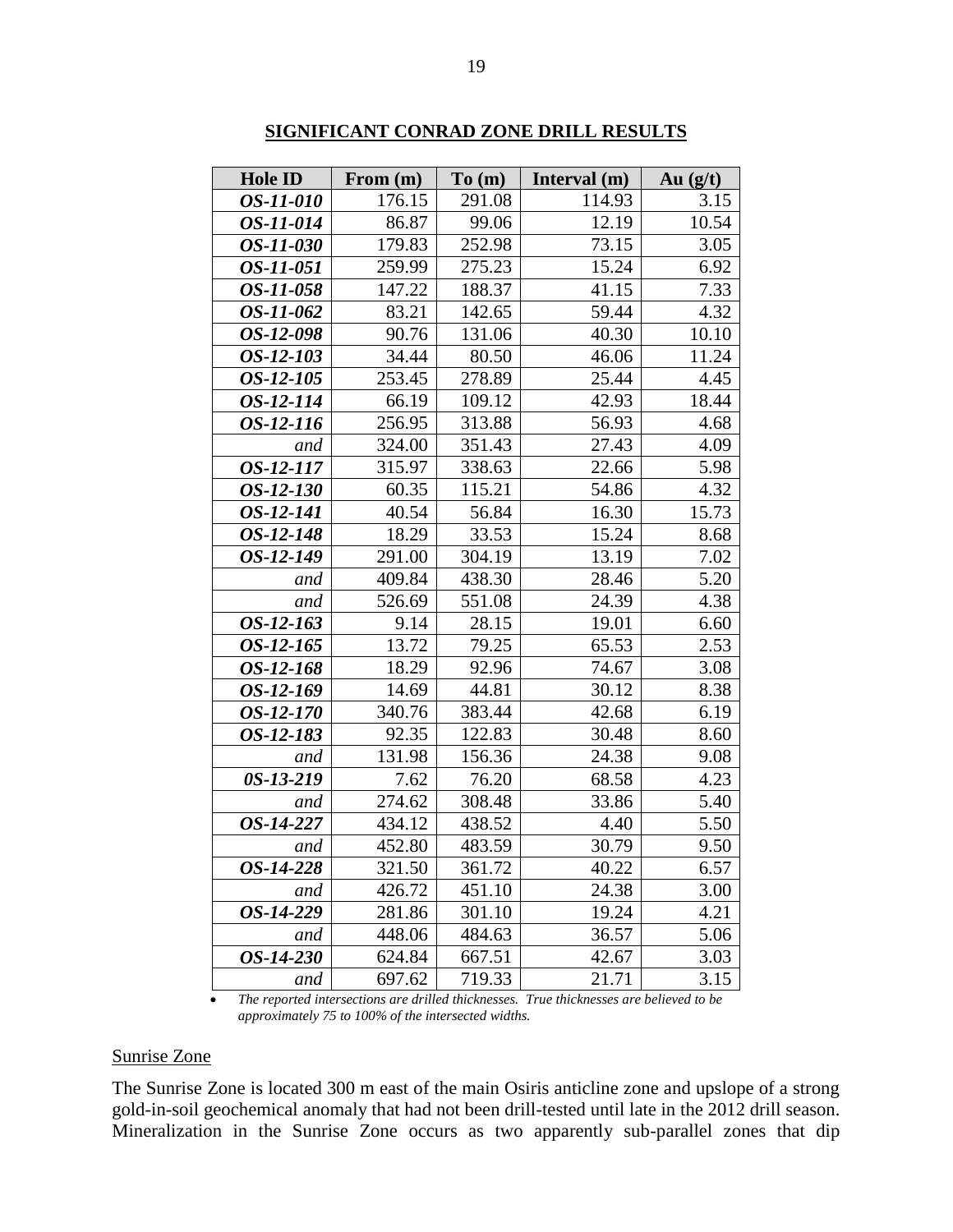| <b>Hole ID</b>   | From (m) | To(m)  | Interval (m) | Au $(g/t)$ |
|------------------|----------|--------|--------------|------------|
| OS-11-010        | 176.15   | 291.08 | 114.93       | 3.15       |
| OS-11-014        | 86.87    | 99.06  | 12.19        | 10.54      |
| <i>OS-11-030</i> | 179.83   | 252.98 | 73.15        | 3.05       |
| OS-11-051        | 259.99   | 275.23 | 15.24        | 6.92       |
| OS-11-058        | 147.22   | 188.37 | 41.15        | 7.33       |
| OS-11-062        | 83.21    | 142.65 | 59.44        | 4.32       |
| OS-12-098        | 90.76    | 131.06 | 40.30        | 10.10      |
| <i>OS-12-103</i> | 34.44    | 80.50  | 46.06        | 11.24      |
| OS-12-105        | 253.45   | 278.89 | 25.44        | 4.45       |
| OS-12-114        | 66.19    | 109.12 | 42.93        | 18.44      |
| <i>OS-12-116</i> | 256.95   | 313.88 | 56.93        | 4.68       |
| and              | 324.00   | 351.43 | 27.43        | 4.09       |
| OS-12-117        | 315.97   | 338.63 | 22.66        | 5.98       |
| OS-12-130        | 60.35    | 115.21 | 54.86        | 4.32       |
| <i>OS-12-141</i> | 40.54    | 56.84  | 16.30        | 15.73      |
| OS-12-148        | 18.29    | 33.53  | 15.24        | 8.68       |
| OS-12-149        | 291.00   | 304.19 | 13.19        | 7.02       |
| and              | 409.84   | 438.30 | 28.46        | 5.20       |
| and              | 526.69   | 551.08 | 24.39        | 4.38       |
| OS-12-163        | 9.14     | 28.15  | 19.01        | 6.60       |
| $OS-12-165$      | 13.72    | 79.25  | 65.53        | 2.53       |
| OS-12-168        | 18.29    | 92.96  | 74.67        | 3.08       |
| OS-12-169        | 14.69    | 44.81  | 30.12        | 8.38       |
| <i>OS-12-170</i> | 340.76   | 383.44 | 42.68        | 6.19       |
| OS-12-183        | 92.35    | 122.83 | 30.48        | 8.60       |
| and              | 131.98   | 156.36 | 24.38        | 9.08       |
| 0S-13-219        | 7.62     | 76.20  | 68.58        | 4.23       |
| and              | 274.62   | 308.48 | 33.86        | 5.40       |
| OS-14-227        | 434.12   | 438.52 | 4.40         | 5.50       |
| and              | 452.80   | 483.59 | 30.79        | 9.50       |
| <i>OS-14-228</i> | 321.50   | 361.72 | 40.22        | 6.57       |
| and              | 426.72   | 451.10 | 24.38        | 3.00       |
| OS-14-229        | 281.86   | 301.10 | 19.24        | 4.21       |
| and              | 448.06   | 484.63 | 36.57        | 5.06       |
| OS-14-230        | 624.84   | 667.51 | 42.67        | 3.03       |
| and              | 697.62   | 719.33 | 21.71        | 3.15       |

**SIGNIFICANT CONRAD ZONE DRILL RESULTS**

#### Sunrise Zone

The Sunrise Zone is located 300 m east of the main Osiris anticline zone and upslope of a strong gold-in-soil geochemical anomaly that had not been drill-tested until late in the 2012 drill season. Mineralization in the Sunrise Zone occurs as two apparently sub-parallel zones that dip

*The reported intersections are drilled thicknesses. True thicknesses are believed to be approximately 75 to 100% of the intersected widths.*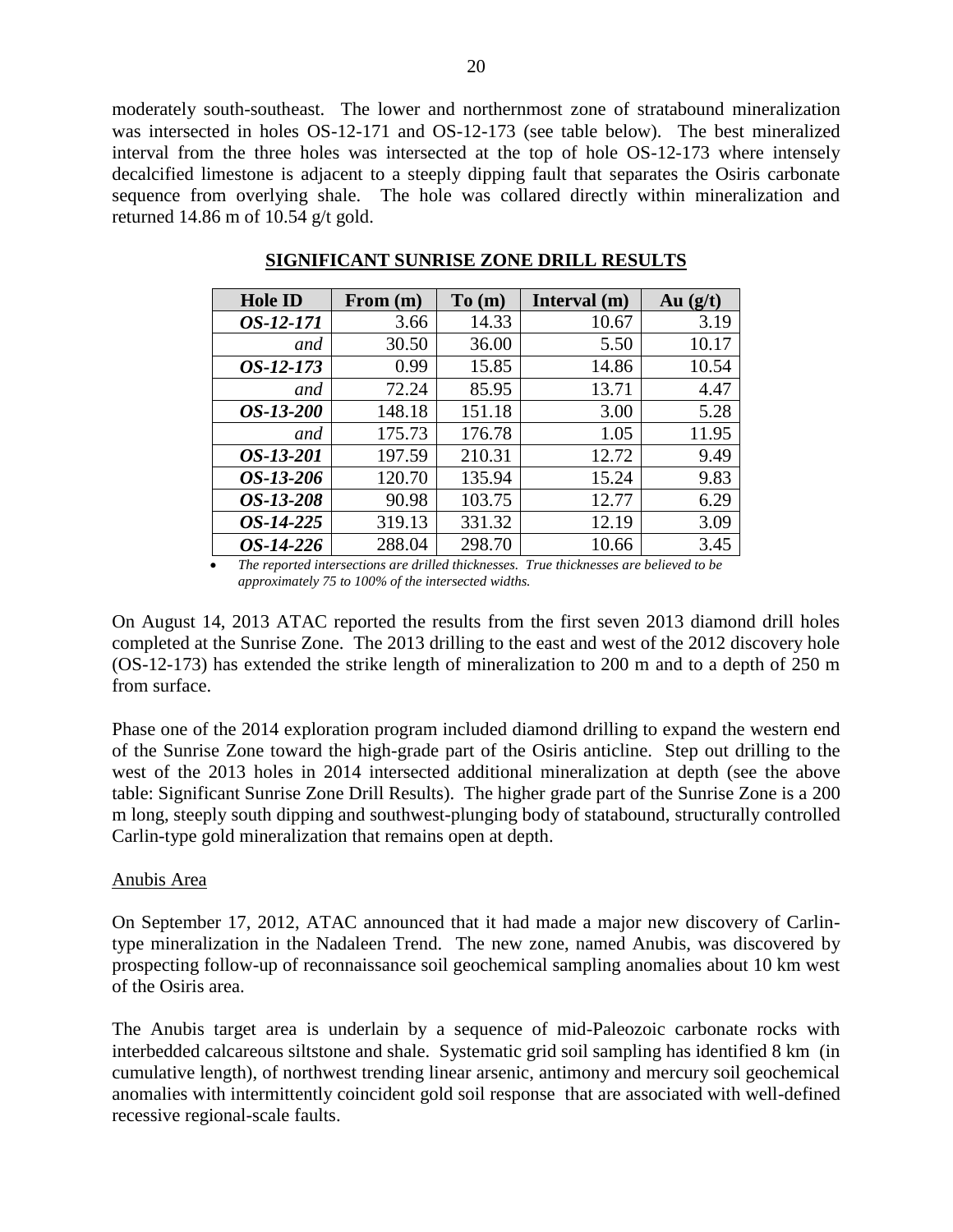moderately south-southeast. The lower and northernmost zone of stratabound mineralization was intersected in holes OS-12-171 and OS-12-173 (see table below). The best mineralized interval from the three holes was intersected at the top of hole OS-12-173 where intensely decalcified limestone is adjacent to a steeply dipping fault that separates the Osiris carbonate sequence from overlying shale. The hole was collared directly within mineralization and returned 14.86 m of 10.54 g/t gold.

| <b>Hole ID</b> | From (m) | To(m)  | Interval (m) | Au $(g/t)$ |
|----------------|----------|--------|--------------|------------|
| OS-12-171      | 3.66     | 14.33  | 10.67        | 3.19       |
| and            | 30.50    | 36.00  | 5.50         | 10.17      |
| $OS-12-173$    | 0.99     | 15.85  | 14.86        | 10.54      |
| and            | 72.24    | 85.95  | 13.71        | 4.47       |
| OS-13-200      | 148.18   | 151.18 | 3.00         | 5.28       |
| and            | 175.73   | 176.78 | 1.05         | 11.95      |
| OS-13-201      | 197.59   | 210.31 | 12.72        | 9.49       |
| OS-13-206      | 120.70   | 135.94 | 15.24        | 9.83       |
| OS-13-208      | 90.98    | 103.75 | 12.77        | 6.29       |
| OS-14-225      | 319.13   | 331.32 | 12.19        | 3.09       |
| OS-14-226      | 288.04   | 298.70 | 10.66        | 3.45       |

**SIGNIFICANT SUNRISE ZONE DRILL RESULTS**

 *The reported intersections are drilled thicknesses. True thicknesses are believed to be approximately 75 to 100% of the intersected widths.*

On August 14, 2013 ATAC reported the results from the first seven 2013 diamond drill holes completed at the Sunrise Zone. The 2013 drilling to the east and west of the 2012 discovery hole (OS-12-173) has extended the strike length of mineralization to 200 m and to a depth of 250 m from surface.

Phase one of the 2014 exploration program included diamond drilling to expand the western end of the Sunrise Zone toward the high-grade part of the Osiris anticline. Step out drilling to the west of the 2013 holes in 2014 intersected additional mineralization at depth (see the above table: Significant Sunrise Zone Drill Results). The higher grade part of the Sunrise Zone is a 200 m long, steeply south dipping and southwest-plunging body of statabound, structurally controlled Carlin-type gold mineralization that remains open at depth.

#### Anubis Area

On September 17, 2012, ATAC announced that it had made a major new discovery of Carlintype mineralization in the Nadaleen Trend. The new zone, named Anubis, was discovered by prospecting follow-up of reconnaissance soil geochemical sampling anomalies about 10 km west of the Osiris area.

The Anubis target area is underlain by a sequence of mid-Paleozoic carbonate rocks with interbedded calcareous siltstone and shale. Systematic grid soil sampling has identified 8 km (in cumulative length), of northwest trending linear arsenic, antimony and mercury soil geochemical anomalies with intermittently coincident gold soil response that are associated with well-defined recessive regional-scale faults.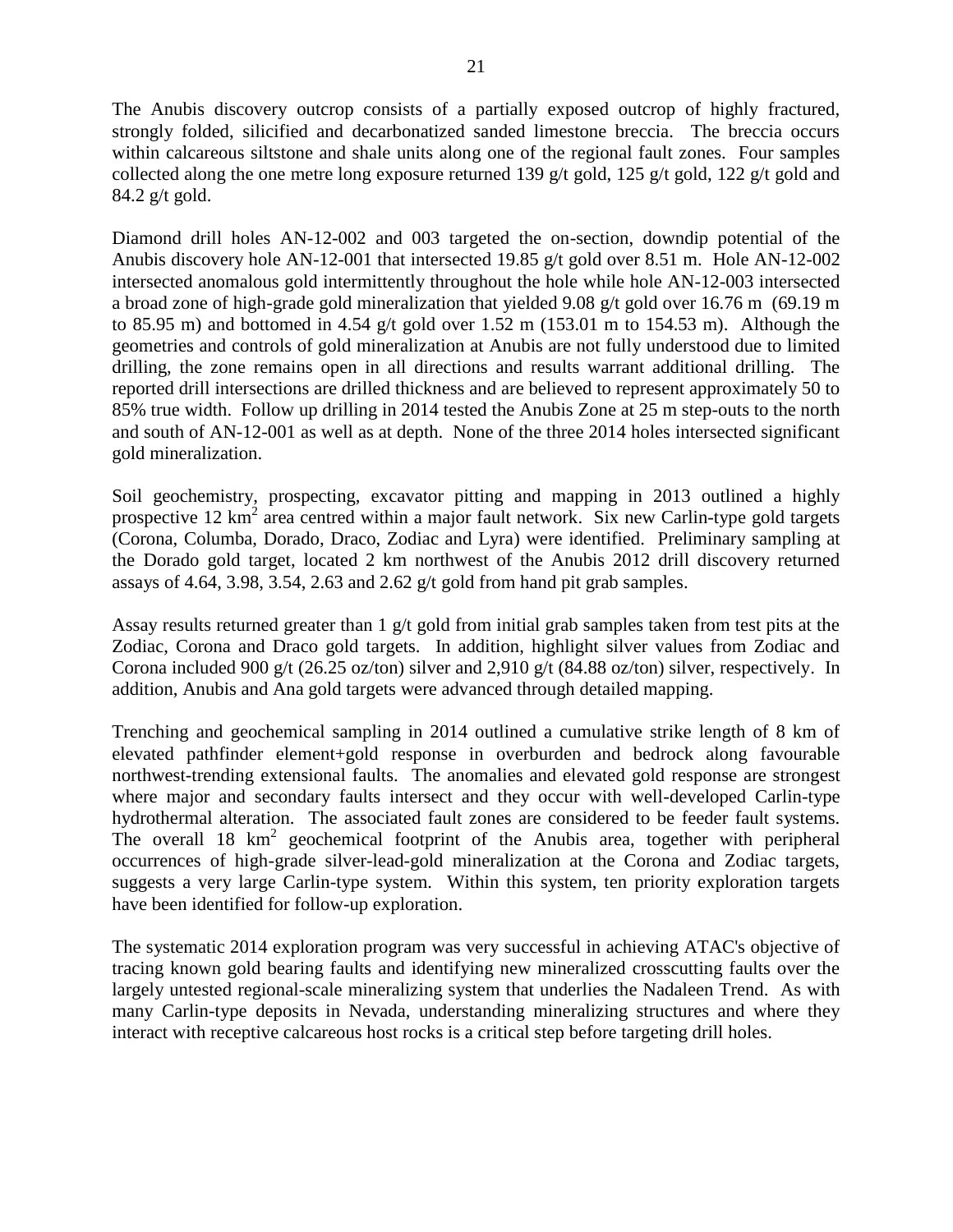The Anubis discovery outcrop consists of a partially exposed outcrop of highly fractured, strongly folded, silicified and decarbonatized sanded limestone breccia. The breccia occurs within calcareous siltstone and shale units along one of the regional fault zones. Four samples collected along the one metre long exposure returned 139 g/t gold, 125 g/t gold, 122 g/t gold and 84.2 g/t gold.

Diamond drill holes AN-12-002 and 003 targeted the on-section, downdip potential of the Anubis discovery hole AN-12-001 that intersected 19.85 g/t gold over 8.51 m. Hole AN-12-002 intersected anomalous gold intermittently throughout the hole while hole AN-12-003 intersected a broad zone of high-grade gold mineralization that yielded 9.08 g/t gold over 16.76 m (69.19 m to 85.95 m) and bottomed in 4.54 g/t gold over 1.52 m (153.01 m to 154.53 m). Although the geometries and controls of gold mineralization at Anubis are not fully understood due to limited drilling, the zone remains open in all directions and results warrant additional drilling. The reported drill intersections are drilled thickness and are believed to represent approximately 50 to 85% true width. Follow up drilling in 2014 tested the Anubis Zone at 25 m step-outs to the north and south of AN-12-001 as well as at depth. None of the three 2014 holes intersected significant gold mineralization.

Soil geochemistry, prospecting, excavator pitting and mapping in 2013 outlined a highly prospective 12 km<sup>2</sup> area centred within a major fault network. Six new Carlin-type gold targets (Corona, Columba, Dorado, Draco, Zodiac and Lyra) were identified. Preliminary sampling at the Dorado gold target, located 2 km northwest of the Anubis 2012 drill discovery returned assays of 4.64, 3.98, 3.54, 2.63 and 2.62 g/t gold from hand pit grab samples.

Assay results returned greater than  $1 \text{ g/t}$  gold from initial grab samples taken from test pits at the Zodiac, Corona and Draco gold targets. In addition, highlight silver values from Zodiac and Corona included 900 g/t (26.25 oz/ton) silver and 2,910 g/t (84.88 oz/ton) silver, respectively. In addition, Anubis and Ana gold targets were advanced through detailed mapping.

Trenching and geochemical sampling in 2014 outlined a cumulative strike length of 8 km of elevated pathfinder element+gold response in overburden and bedrock along favourable northwest-trending extensional faults. The anomalies and elevated gold response are strongest where major and secondary faults intersect and they occur with well-developed Carlin-type hydrothermal alteration. The associated fault zones are considered to be feeder fault systems. The overall  $18 \text{ km}^2$  geochemical footprint of the Anubis area, together with peripheral occurrences of high-grade silver-lead-gold mineralization at the Corona and Zodiac targets, suggests a very large Carlin-type system. Within this system, ten priority exploration targets have been identified for follow-up exploration.

The systematic 2014 exploration program was very successful in achieving ATAC's objective of tracing known gold bearing faults and identifying new mineralized crosscutting faults over the largely untested regional-scale mineralizing system that underlies the Nadaleen Trend. As with many Carlin-type deposits in Nevada, understanding mineralizing structures and where they interact with receptive calcareous host rocks is a critical step before targeting drill holes.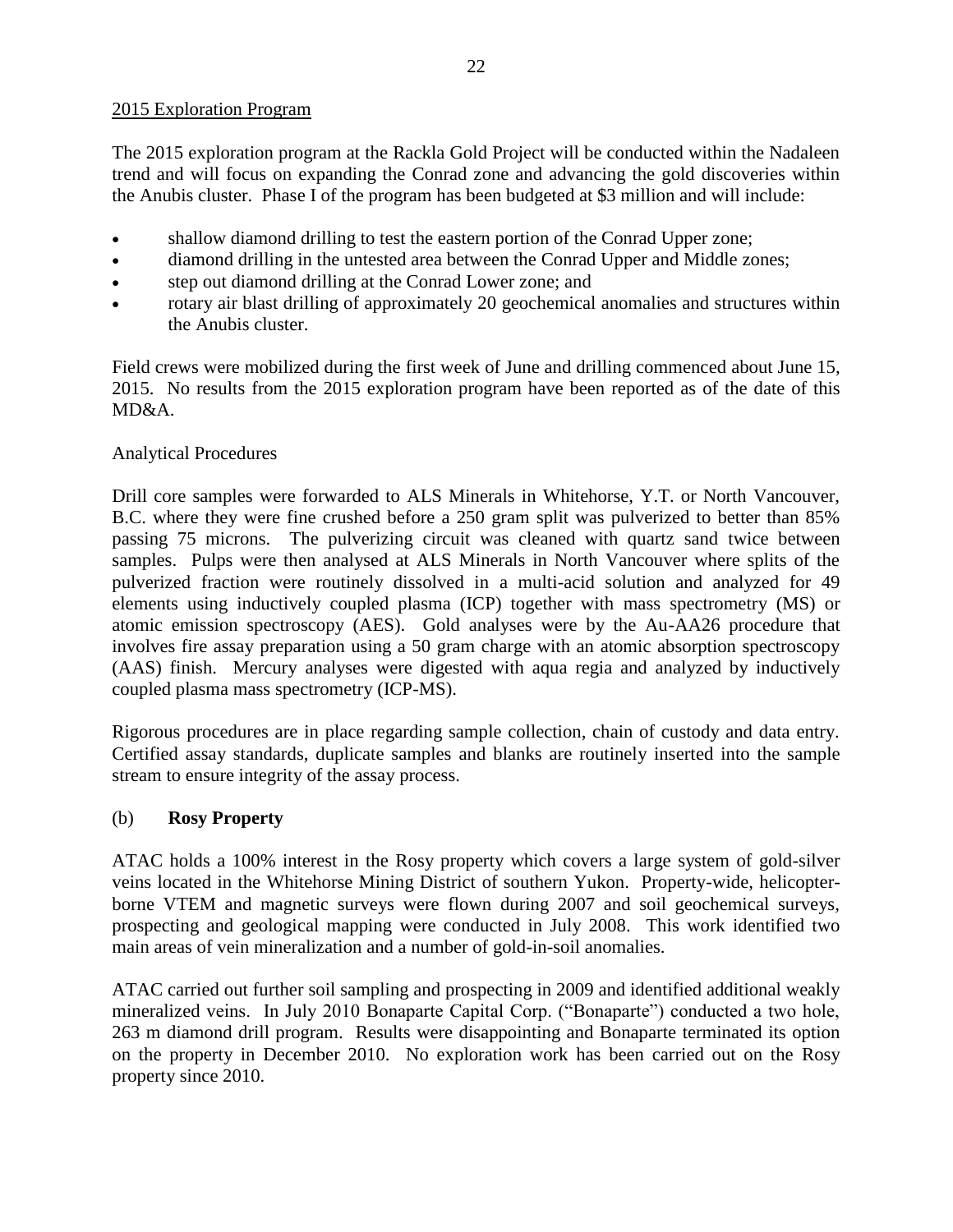### 2015 Exploration Program

The 2015 exploration program at the Rackla Gold Project will be conducted within the Nadaleen trend and will focus on expanding the Conrad zone and advancing the gold discoveries within the Anubis cluster. Phase I of the program has been budgeted at \$3 million and will include:

- shallow diamond drilling to test the eastern portion of the Conrad Upper zone;
- diamond drilling in the untested area between the Conrad Upper and Middle zones;
- step out diamond drilling at the Conrad Lower zone; and
- rotary air blast drilling of approximately 20 geochemical anomalies and structures within the Anubis cluster.

Field crews were mobilized during the first week of June and drilling commenced about June 15, 2015. No results from the 2015 exploration program have been reported as of the date of this MD&A.

## Analytical Procedures

Drill core samples were forwarded to ALS Minerals in Whitehorse, Y.T. or North Vancouver, B.C. where they were fine crushed before a 250 gram split was pulverized to better than 85% passing 75 microns. The pulverizing circuit was cleaned with quartz sand twice between samples. Pulps were then analysed at ALS Minerals in North Vancouver where splits of the pulverized fraction were routinely dissolved in a multi-acid solution and analyzed for 49 elements using inductively coupled plasma (ICP) together with mass spectrometry (MS) or atomic emission spectroscopy (AES). Gold analyses were by the Au-AA26 procedure that involves fire assay preparation using a 50 gram charge with an atomic absorption spectroscopy (AAS) finish. Mercury analyses were digested with aqua regia and analyzed by inductively coupled plasma mass spectrometry (ICP-MS).

Rigorous procedures are in place regarding sample collection, chain of custody and data entry. Certified assay standards, duplicate samples and blanks are routinely inserted into the sample stream to ensure integrity of the assay process.

## (b) **Rosy Property**

ATAC holds a 100% interest in the Rosy property which covers a large system of gold-silver veins located in the Whitehorse Mining District of southern Yukon. Property-wide, helicopterborne VTEM and magnetic surveys were flown during 2007 and soil geochemical surveys, prospecting and geological mapping were conducted in July 2008. This work identified two main areas of vein mineralization and a number of gold-in-soil anomalies.

ATAC carried out further soil sampling and prospecting in 2009 and identified additional weakly mineralized veins. In July 2010 Bonaparte Capital Corp. ("Bonaparte") conducted a two hole, 263 m diamond drill program. Results were disappointing and Bonaparte terminated its option on the property in December 2010. No exploration work has been carried out on the Rosy property since 2010.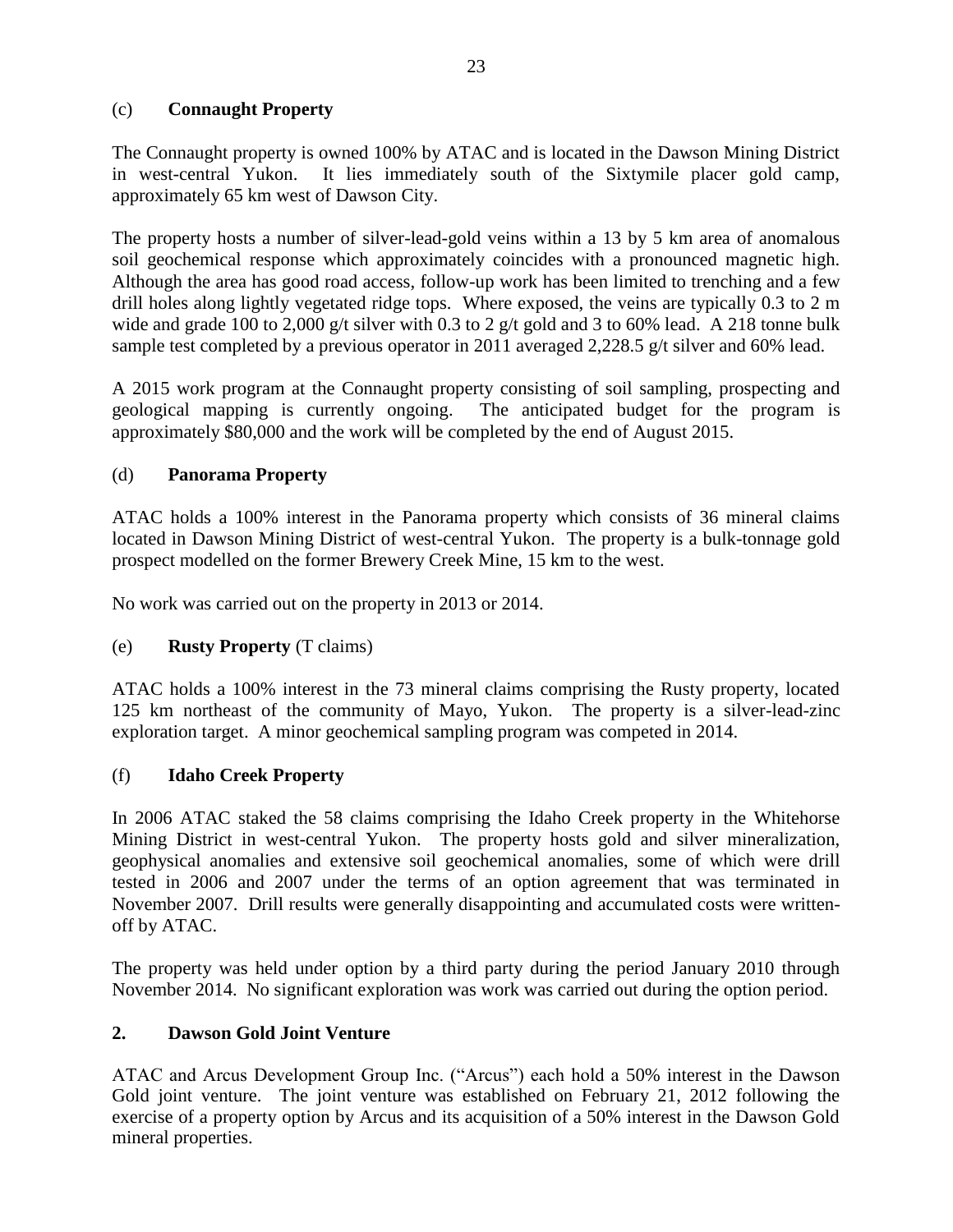## (c) **Connaught Property**

The Connaught property is owned 100% by ATAC and is located in the Dawson Mining District in west-central Yukon. It lies immediately south of the Sixtymile placer gold camp, approximately 65 km west of Dawson City.

The property hosts a number of silver-lead-gold veins within a 13 by 5 km area of anomalous soil geochemical response which approximately coincides with a pronounced magnetic high. Although the area has good road access, follow-up work has been limited to trenching and a few drill holes along lightly vegetated ridge tops. Where exposed, the veins are typically 0.3 to 2 m wide and grade 100 to 2,000 g/t silver with 0.3 to 2 g/t gold and 3 to 60% lead. A 218 tonne bulk sample test completed by a previous operator in 2011 averaged 2,228.5 g/t silver and 60% lead.

A 2015 work program at the Connaught property consisting of soil sampling, prospecting and geological mapping is currently ongoing. The anticipated budget for the program is approximately \$80,000 and the work will be completed by the end of August 2015.

## (d) **Panorama Property**

ATAC holds a 100% interest in the Panorama property which consists of 36 mineral claims located in Dawson Mining District of west-central Yukon. The property is a bulk-tonnage gold prospect modelled on the former Brewery Creek Mine, 15 km to the west.

No work was carried out on the property in 2013 or 2014.

## (e) **Rusty Property** (T claims)

ATAC holds a 100% interest in the 73 mineral claims comprising the Rusty property, located 125 km northeast of the community of Mayo, Yukon. The property is a silver-lead-zinc exploration target. A minor geochemical sampling program was competed in 2014.

## (f) **Idaho Creek Property**

In 2006 ATAC staked the 58 claims comprising the Idaho Creek property in the Whitehorse Mining District in west-central Yukon. The property hosts gold and silver mineralization, geophysical anomalies and extensive soil geochemical anomalies, some of which were drill tested in 2006 and 2007 under the terms of an option agreement that was terminated in November 2007. Drill results were generally disappointing and accumulated costs were writtenoff by ATAC.

The property was held under option by a third party during the period January 2010 through November 2014. No significant exploration was work was carried out during the option period.

### **2. Dawson Gold Joint Venture**

ATAC and Arcus Development Group Inc. ("Arcus") each hold a 50% interest in the Dawson Gold joint venture. The joint venture was established on February 21, 2012 following the exercise of a property option by Arcus and its acquisition of a 50% interest in the Dawson Gold mineral properties.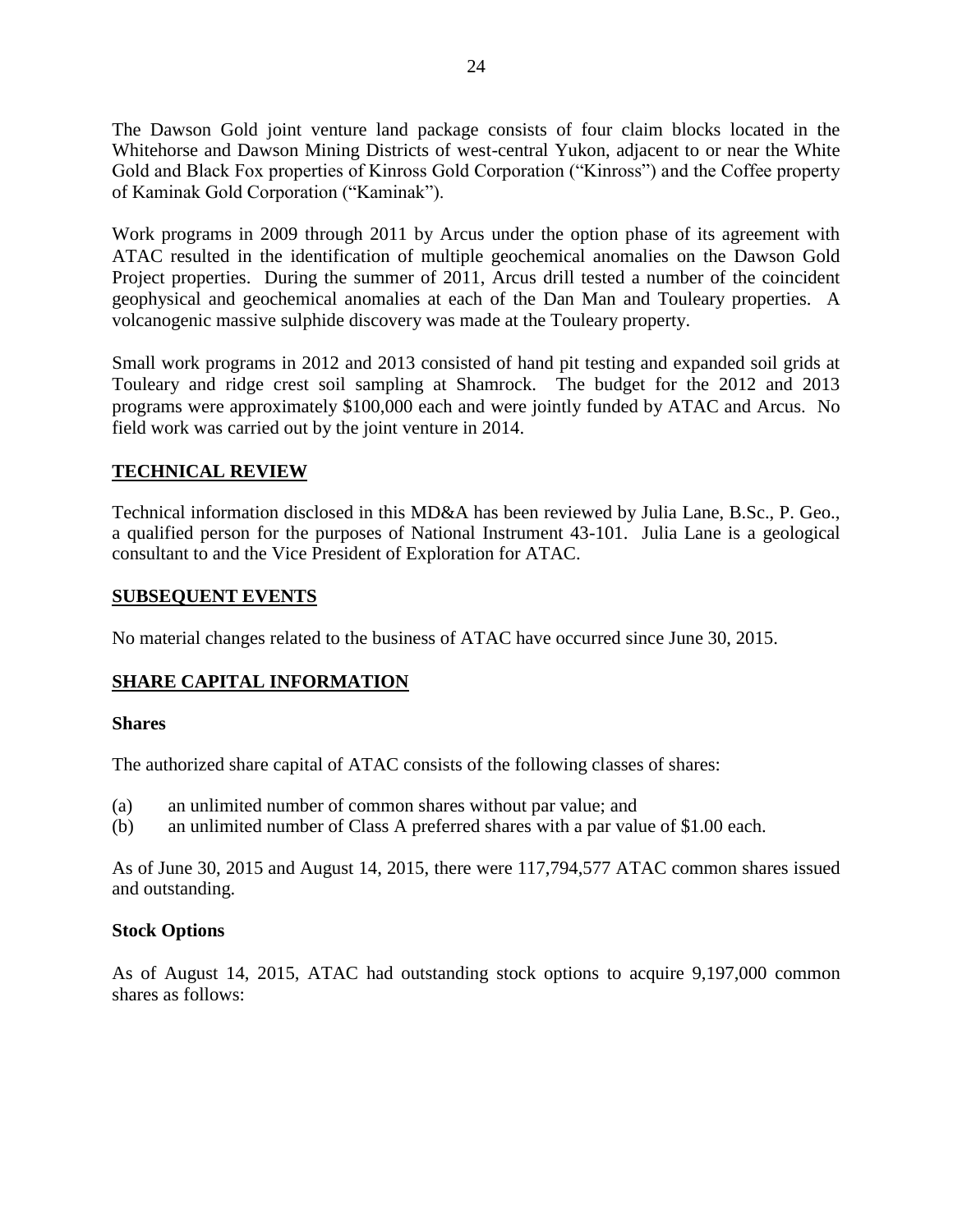The Dawson Gold joint venture land package consists of four claim blocks located in the Whitehorse and Dawson Mining Districts of west-central Yukon, adjacent to or near the White Gold and Black Fox properties of Kinross Gold Corporation ("Kinross") and the Coffee property of Kaminak Gold Corporation ("Kaminak").

Work programs in 2009 through 2011 by Arcus under the option phase of its agreement with ATAC resulted in the identification of multiple geochemical anomalies on the Dawson Gold Project properties. During the summer of 2011, Arcus drill tested a number of the coincident geophysical and geochemical anomalies at each of the Dan Man and Touleary properties. A volcanogenic massive sulphide discovery was made at the Touleary property.

Small work programs in 2012 and 2013 consisted of hand pit testing and expanded soil grids at Touleary and ridge crest soil sampling at Shamrock. The budget for the 2012 and 2013 programs were approximately \$100,000 each and were jointly funded by ATAC and Arcus. No field work was carried out by the joint venture in 2014.

### **TECHNICAL REVIEW**

Technical information disclosed in this MD&A has been reviewed by Julia Lane, B.Sc., P. Geo., a qualified person for the purposes of National Instrument 43-101. Julia Lane is a geological consultant to and the Vice President of Exploration for ATAC.

### **SUBSEQUENT EVENTS**

No material changes related to the business of ATAC have occurred since June 30, 2015.

### **SHARE CAPITAL INFORMATION**

#### **Shares**

The authorized share capital of ATAC consists of the following classes of shares:

- (a) an unlimited number of common shares without par value; and
- (b) an unlimited number of Class A preferred shares with a par value of \$1.00 each.

As of June 30, 2015 and August 14, 2015, there were 117,794,577 ATAC common shares issued and outstanding.

### **Stock Options**

As of August 14, 2015, ATAC had outstanding stock options to acquire 9,197,000 common shares as follows: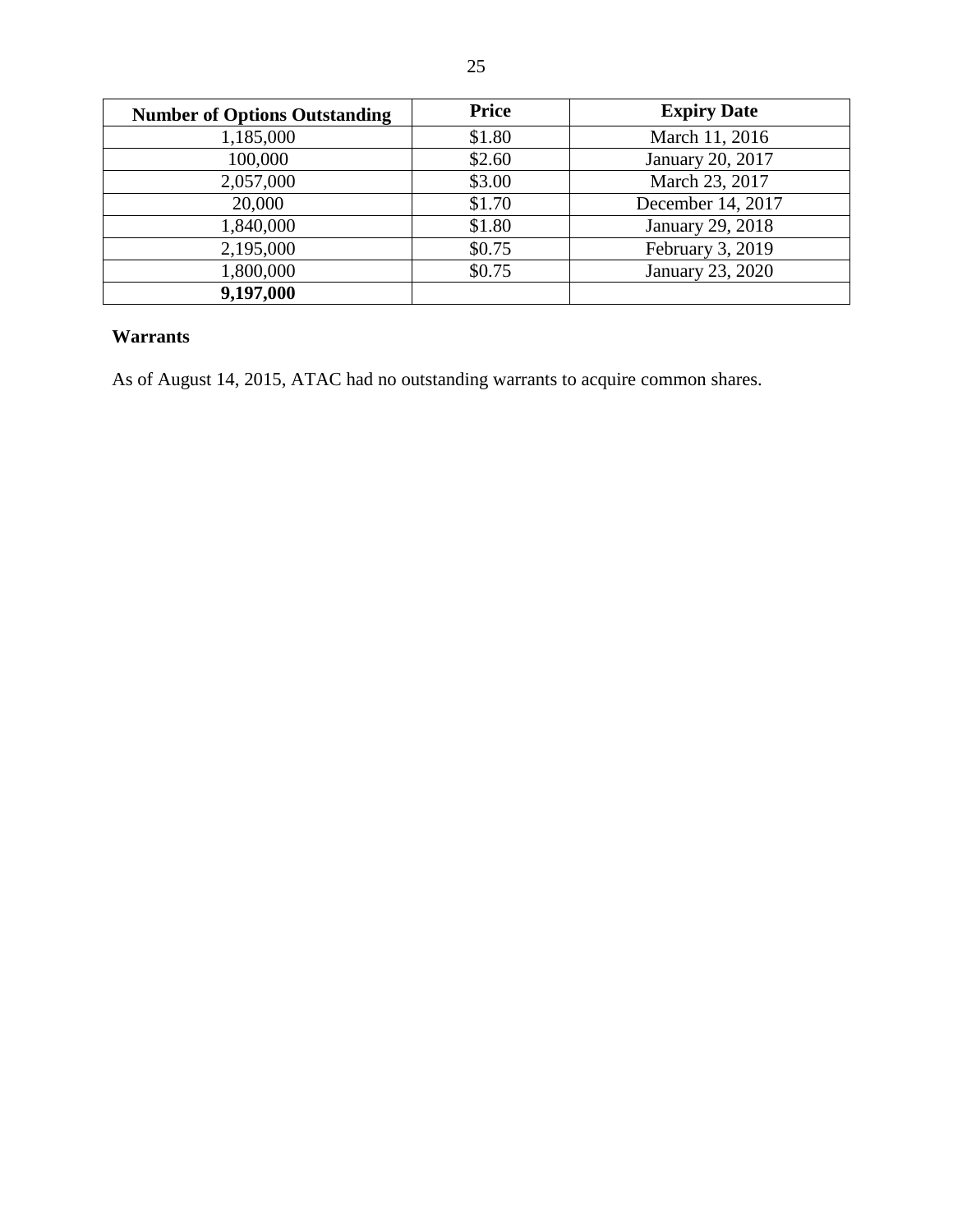| <b>Number of Options Outstanding</b> | <b>Price</b> | <b>Expiry Date</b> |
|--------------------------------------|--------------|--------------------|
| 1,185,000                            | \$1.80       | March 11, 2016     |
| 100,000                              | \$2.60       | January 20, 2017   |
| 2,057,000                            | \$3.00       | March 23, 2017     |
| 20,000                               | \$1.70       | December 14, 2017  |
| 1,840,000                            | \$1.80       | January 29, 2018   |
| 2,195,000                            | \$0.75       | February 3, 2019   |
| 1,800,000                            | \$0.75       | January 23, 2020   |
| 9,197,000                            |              |                    |

# **Warrants**

As of August 14, 2015, ATAC had no outstanding warrants to acquire common shares.